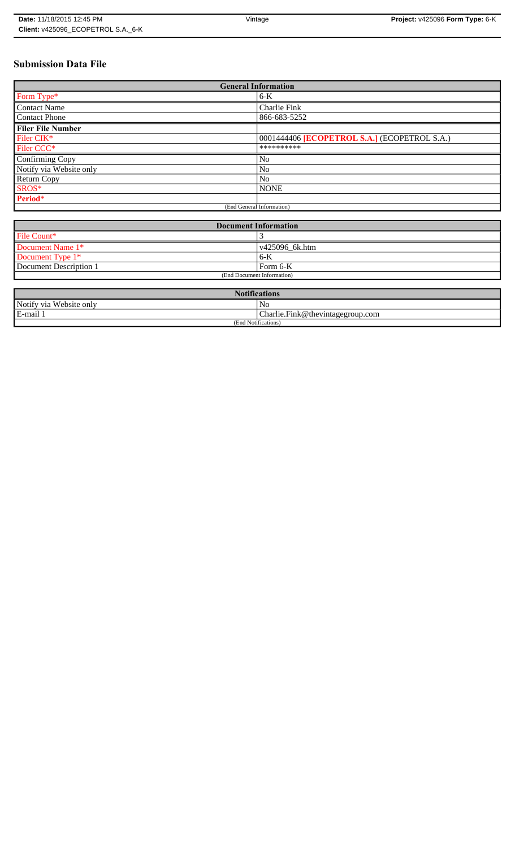# **Submission Data File**

| <b>General Information</b> |                                              |  |  |  |  |  |  |
|----------------------------|----------------------------------------------|--|--|--|--|--|--|
| Form Type*                 | $6-K$                                        |  |  |  |  |  |  |
| <b>Contact Name</b>        | Charlie Fink                                 |  |  |  |  |  |  |
| <b>Contact Phone</b>       | 866-683-5252                                 |  |  |  |  |  |  |
| <b>Filer File Number</b>   |                                              |  |  |  |  |  |  |
| Filer CIK*                 | 0001444406 [ECOPETROL S.A.] (ECOPETROL S.A.) |  |  |  |  |  |  |
| Filer CCC <sup>*</sup>     | **********                                   |  |  |  |  |  |  |
| Confirming Copy            | No                                           |  |  |  |  |  |  |
| Notify via Website only    | No                                           |  |  |  |  |  |  |
| Return Copy                | N <sub>o</sub>                               |  |  |  |  |  |  |
| SROS*                      | <b>NONE</b>                                  |  |  |  |  |  |  |
| Period*                    |                                              |  |  |  |  |  |  |
|                            | (End General Information)                    |  |  |  |  |  |  |

| <b>Document Information</b> |                        |  |  |  |  |
|-----------------------------|------------------------|--|--|--|--|
| File Count*                 |                        |  |  |  |  |
| Document Name 1*            | $\sqrt{425096}$ 6k.htm |  |  |  |  |
| Document Type 1*            | 6-K                    |  |  |  |  |
| Document Description 1      | l Form 6-K             |  |  |  |  |
| (End Document Information)  |                        |  |  |  |  |

| <b>Notifications</b>    |                                  |  |  |  |  |  |
|-------------------------|----------------------------------|--|--|--|--|--|
| Notify via Website only | N <sub>0</sub>                   |  |  |  |  |  |
| E-mail 1                | Charlie.Fink@thevintagegroup.com |  |  |  |  |  |
| (End Notifications)     |                                  |  |  |  |  |  |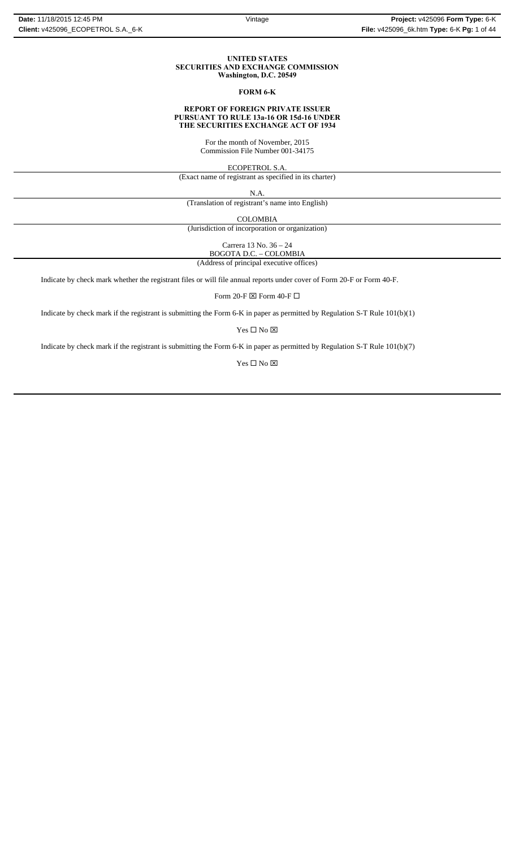#### **UNITED STATES SECURITIES AND EXCHANGE COMMISSION Washington, D.C. 20549**

#### **FORM 6-K**

#### **REPORT OF FOREIGN PRIVATE ISSUER PURSUANT TO RULE 13a-16 OR 15d-16 UNDER THE SECURITIES EXCHANGE ACT OF 1934**

For the month of November, 2015 Commission File Number 001-34175

ECOPETROL S.A.

(Exact name of registrant as specified in its charter)

N.A.

(Translation of registrant's name into English)

COLOMBIA

(Jurisdiction of incorporation or organization)

Carrera 13 No. 36 – 24

Indicate by check mark whether the registrant files or will file annual reports under cover of Form 20-F or Form 40-F.

Form 20-F  $\boxtimes$  Form 40-F  $\Box$ 

Indicate by check mark if the registrant is submitting the Form 6-K in paper as permitted by Regulation S-T Rule 101(b)(1)

Yes $\Box$  No  $\boxtimes$ 

Indicate by check mark if the registrant is submitting the Form 6-K in paper as permitted by Regulation S-T Rule 101(b)(7)

Yes □ No ⊠

BOGOTA D.C. – COLOMBIA (Address of principal executive offices)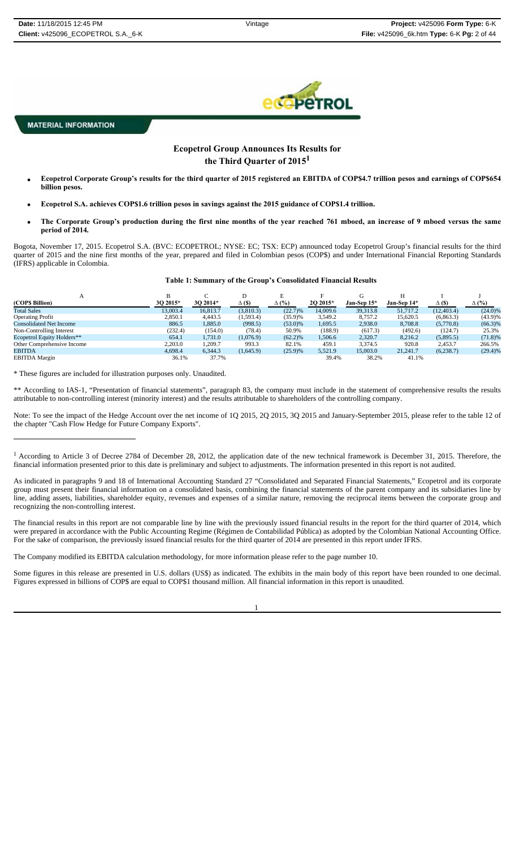

## **Ecopetrol Group Announces Its Results for the Third Quarter of 20151**

- **Ecopetrol Corporate Group's results for the third quarter of 2015 registered an EBITDA of COP\$4.7 trillion pesos and earnings of COP\$654 billion pesos.**
- **Ecopetrol S.A. achieves COP\$1.6 trillion pesos in savings against the 2015 guidance of COP\$1.4 trillion.**
- **The Corporate Group's production during the first nine months of the year reached 761 mboed, an increase of 9 mboed versus the same period of 2014***.*

Bogota, November 17, 2015. Ecopetrol S.A. (BVC: ECOPETROL; NYSE: EC; TSX: ECP) announced today Ecopetrol Group's financial results for the third quarter of 2015 and the nine first months of the year, prepared and filed in Colombian pesos (COP\$) and under International Financial Reporting Standards (IFRS) applicable in Colombia.

### **Table 1: Summary of the Group's Consolidated Financial Results**

| $\mathbf{A}$                      |          |          |               |              |          | G           |             |               |              |
|-----------------------------------|----------|----------|---------------|--------------|----------|-------------|-------------|---------------|--------------|
| (COPS Billion)                    | 30 2015* | 30 2014* | $\Delta$ (\$) | $\Delta$ (%) | 2Q 2015* | Jan-Sep 15* | Jan-Sep 14* | $\Delta$ (\$) | $\Delta$ (%) |
| <b>Total Sales</b>                | 13,003.4 | 16.813.7 | (3,810.3)     | (22.7)%      | 14,009.6 | 39,313.8    | 51,717.2    | (12, 403.4)   | $(24.0)\%$   |
| <b>Operating Profit</b>           | 2,850.1  | 4.443.5  | (1, 593.4)    | (35.9)%      | 3,549.2  | 8,757.2     | 15,620.5    | (6,863.3)     | $(43.9)\%$   |
| <b>Consolidated Net Income</b>    | 886.5    | 1.885.0  | (998.5)       | $(53.0)\%$   | 1,695.5  | 2,938.0     | 8.708.8     | (5,770.8)     | $(66.3)\%$   |
| Non-Controlling Interest          | (232.4)  | (154.0)  | (78.4)        | 50.9%        | (188.9)  | (617.3)     | (492.6)     | (124.7)       | 25.3%        |
| <b>Ecopetrol Equity Holders**</b> | 654.1    | 1.731.0  | (1,076.9)     | $(62.2)\%$   | 1,506.6  | 2,320.7     | 8.216.2     | (5,895.5)     | $(71.8)\%$   |
| Other Comprehensive Income        | 2.203.0  | 1.209.7  | 993.3         | 82.1%        | 459.1    | 3.374.5     | 920.8       | 2.453.7       | 266.5%       |
| EBITDA                            | 4,698.4  | 6.344.3  | (1,645.9)     | (25.9)%      | 5,521.9  | 15,003.0    | 21,241.7    | (6,238.7)     | $(29.4)\%$   |
| <b>EBITDA</b> Margin              | 36.1%    | 37.7%    |               |              | 39.4%    | 38.2%       | 41.1%       |               |              |

\* These figures are included for illustration purposes only. Unaudited.

\*\* According to IAS-1, "Presentation of financial statements", paragraph 83, the company must include in the statement of comprehensive results the results attributable to non-controlling interest (minority interest) and the results attributable to shareholders of the controlling company.

Note: To see the impact of the Hedge Account over the net income of 1Q 2015, 2Q 2015, 3Q 2015 and January-September 2015, please refer to the table 12 of the chapter "Cash Flow Hedge for Future Company Exports".

The financial results in this report are not comparable line by line with the previously issued financial results in the report for the third quarter of 2014, which were prepared in accordance with the Public Accounting Regime (Régimen de Contabilidad Pública) as adopted by the Colombian National Accounting Office. For the sake of comparison, the previously issued financial results for the third quarter of 2014 are presented in this report under IFRS.

The Company modified its EBITDA calculation methodology, for more information please refer to the page number 10.

Some figures in this release are presented in U.S. dollars (US\$) as indicated. The exhibits in the main body of this report have been rounded to one decimal. Figures expressed in billions of COP\$ are equal to COP\$1 thousand million. All financial information in this report is unaudited.

<sup>&</sup>lt;sup>1</sup> According to Article 3 of Decree 2784 of December 28, 2012, the application date of the new technical framework is December 31, 2015. Therefore, the financial information presented prior to this date is preliminary and subject to adjustments. The information presented in this report is not audited.

As indicated in paragraphs 9 and 18 of International Accounting Standard 27 "Consolidated and Separated Financial Statements," Ecopetrol and its corporate group must present their financial information on a consolidated basis, combining the financial statements of the parent company and its subsidiaries line by line, adding assets, liabilities, shareholder equity, revenues and expenses of a similar nature, removing the reciprocal items between the corporate group and recognizing the non-controlling interest.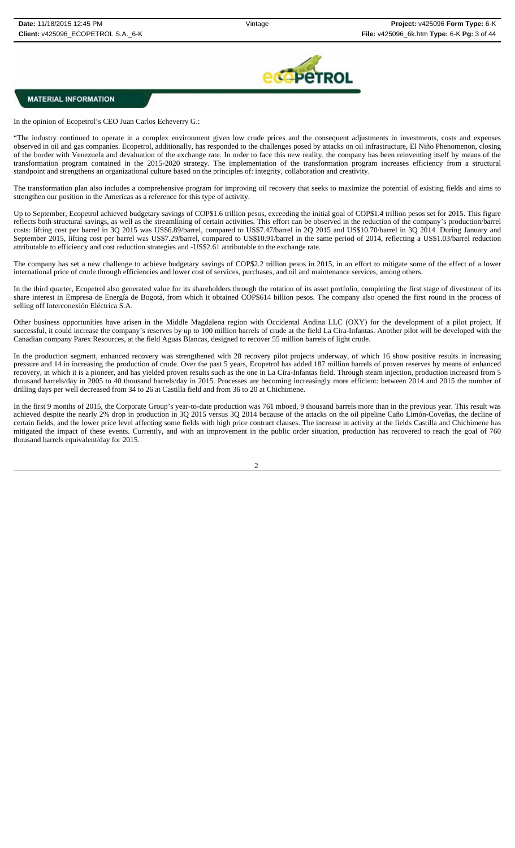

In the opinion of Ecopetrol's CEO Juan Carlos Echeverry G.:

"The industry continued to operate in a complex environment given low crude prices and the consequent adjustments in investments, costs and expenses observed in oil and gas companies. Ecopetrol, additionally, has responded to the challenges posed by attacks on oil infrastructure, El Niño Phenomenon, closing of the border with Venezuela and devaluation of the exchange rate. In order to face this new reality, the company has been reinventing itself by means of the transformation program contained in the 2015-2020 strategy. The implementation of the transformation program increases efficiency from a structural standpoint and strengthens an organizational culture based on the principles of: integrity, collaboration and creativity.

The transformation plan also includes a comprehensive program for improving oil recovery that seeks to maximize the potential of existing fields and aims to strengthen our position in the Americas as a reference for this type of activity.

Up to September, Ecopetrol achieved budgetary savings of COP\$1.6 trillion pesos, exceeding the initial goal of COP\$1.4 trillion pesos set for 2015. This figure reflects both structural savings, as well as the streamlining of certain activities. This effort can be observed in the reduction of the company's production/barrel costs: lifting cost per barrel in 3Q 2015 was US\$6.89/barrel, compared to US\$7.47/barrel in 2Q 2015 and US\$10.70/barrel in 3Q 2014. During January and September 2015, lifting cost per barrel was US\$7.29/barrel, compared to US\$10.91/barrel in the same period of 2014, reflecting a US\$1.03/barrel reduction attributable to efficiency and cost reduction strategies and -US\$2.61 attributable to the exchange rate.

The company has set a new challenge to achieve budgetary savings of COP\$2.2 trillion pesos in 2015, in an effort to mitigate some of the effect of a lower international price of crude through efficiencies and lower cost of services, purchases, and oil and maintenance services, among others.

In the third quarter, Ecopetrol also generated value for its shareholders through the rotation of its asset portfolio, completing the first stage of divestment of its share interest in Empresa de Energía de Bogotá, from which it obtained COP\$614 billion pesos. The company also opened the first round in the process of selling off Interconexión Eléctrica S.A.

Other business opportunities have arisen in the Middle Magdalena region with Occidental Andina LLC (OXY) for the development of a pilot project. If successful, it could increase the company's reserves by up to 100 million barrels of crude at the field La Cira-Infantas. Another pilot will be developed with the Canadian company Parex Resources, at the field Aguas Blancas, designed to recover 55 million barrels of light crude.

In the production segment, enhanced recovery was strengthened with 28 recovery pilot projects underway, of which 16 show positive results in increasing pressure and 14 in increasing the production of crude. Over the past 5 years, Ecopetrol has added 187 million barrels of proven reserves by means of enhanced recovery, in which it is a pioneer, and has yielded proven results such as the one in La Cira-Infantas field. Through steam injection, production increased from 5 thousand barrels/day in 2005 to 40 thousand barrels/day in 2015. Processes are becoming increasingly more efficient: between 2014 and 2015 the number of drilling days per well decreased from 34 to 26 at Castilla field and from 36 to 20 at Chichimene.

In the first 9 months of 2015, the Corporate Group's year-to-date production was 761 mboed, 9 thousand barrels more than in the previous year. This result was achieved despite the nearly 2% drop in production in 3Q 2015 versus 3Q 2014 because of the attacks on the oil pipeline Caño Limón-Coveñas, the decline of certain fields, and the lower price level affecting some fields with high price contract clauses. The increase in activity at the fields Castilla and Chichimene has mitigated the impact of these events. Currently, and with an improvement in the public order situation, production has recovered to reach the goal of 760 thousand barrels equivalent/day for 2015.

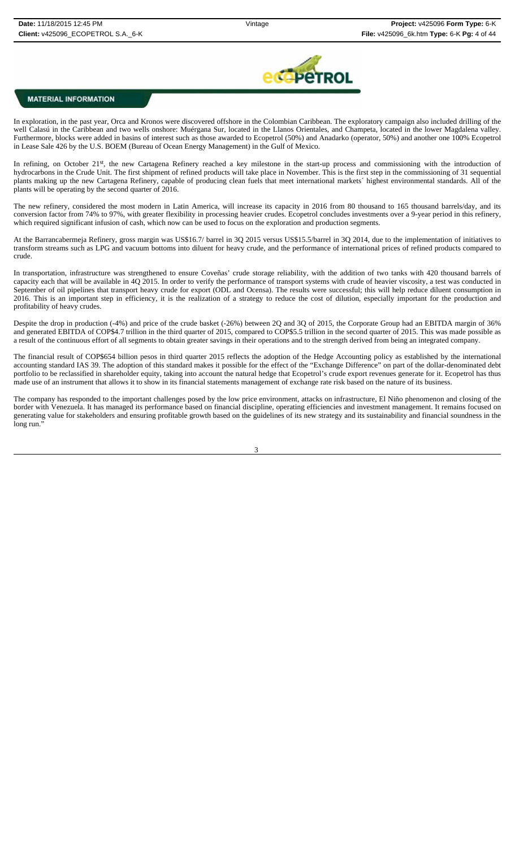

In exploration, in the past year, Orca and Kronos were discovered offshore in the Colombian Caribbean. The exploratory campaign also included drilling of the well Calasú in the Caribbean and two wells onshore: Muérgana Sur, located in the Llanos Orientales, and Champeta, located in the lower Magdalena valley. Furthermore, blocks were added in basins of interest such as those awarded to Ecopetrol (50%) and Anadarko (operator, 50%) and another one 100% Ecopetrol in Lease Sale 426 by the U.S. BOEM (Bureau of Ocean Energy Management) in the Gulf of Mexico.

In refining, on October 21<sup>st</sup>, the new Cartagena Refinery reached a key milestone in the start-up process and commissioning with the introduction of hydrocarbons in the Crude Unit. The first shipment of refined products will take place in November. This is the first step in the commissioning of 31 sequential plants making up the new Cartagena Refinery, capable of producing clean fuels that meet international markets´ highest environmental standards. All of the plants will be operating by the second quarter of 2016.

The new refinery, considered the most modern in Latin America, will increase its capacity in 2016 from 80 thousand to 165 thousand barrels/day, and its conversion factor from 74% to 97%, with greater flexibility in processing heavier crudes. Ecopetrol concludes investments over a 9-year period in this refinery, which required significant infusion of cash, which now can be used to focus on the exploration and production segments.

At the Barrancabermeja Refinery, gross margin was US\$16.7/ barrel in 3Q 2015 versus US\$15.5/barrel in 3Q 2014, due to the implementation of initiatives to transform streams such as LPG and vacuum bottoms into diluent for heavy crude, and the performance of international prices of refined products compared to crude.

In transportation, infrastructure was strengthened to ensure Coveñas' crude storage reliability, with the addition of two tanks with 420 thousand barrels of capacity each that will be available in 4Q 2015. In order to verify the performance of transport systems with crude of heavier viscosity, a test was conducted in September of oil pipelines that transport heavy crude for export (ODL and Ocensa). The results were successful; this will help reduce diluent consumption in 2016. This is an important step in efficiency, it is the realization of a strategy to reduce the cost of dilution, especially important for the production and profitability of heavy crudes.

Despite the drop in production (-4%) and price of the crude basket (-26%) between 2Q and 3Q of 2015, the Corporate Group had an EBITDA margin of 36% and generated EBITDA of COP\$4.7 trillion in the third quarter of 2015, compared to COP\$5.5 trillion in the second quarter of 2015. This was made possible as a result of the continuous effort of all segments to obtain greater savings in their operations and to the strength derived from being an integrated company.

The financial result of COP\$654 billion pesos in third quarter 2015 reflects the adoption of the Hedge Accounting policy as established by the international accounting standard IAS 39. The adoption of this standard makes it possible for the effect of the "Exchange Difference" on part of the dollar-denominated debt portfolio to be reclassified in shareholder equity, taking into account the natural hedge that Ecopetrol's crude export revenues generate for it. Ecopetrol has thus made use of an instrument that allows it to show in its financial statements management of exchange rate risk based on the nature of its business.

The company has responded to the important challenges posed by the low price environment, attacks on infrastructure, El Niño phenomenon and closing of the border with Venezuela. It has managed its performance based on financial discipline, operating efficiencies and investment management. It remains focused on generating value for stakeholders and ensuring profitable growth based on the guidelines of its new strategy and its sustainability and financial soundness in the long run."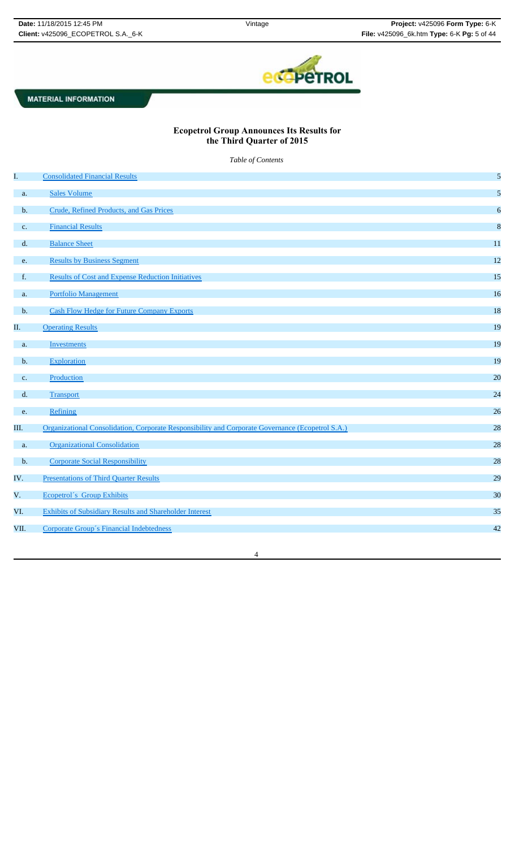

# **Ecopetrol Group Announces Its Results for the Third Quarter of 2015**

*Table of Contents*

| I.    | <b>Consolidated Financial Results</b>                                                            | 5  |
|-------|--------------------------------------------------------------------------------------------------|----|
| a.    | <b>Sales Volume</b>                                                                              | 5  |
| $b$ . | Crude, Refined Products, and Gas Prices                                                          | 6  |
| c.    | <b>Financial Results</b>                                                                         | 8  |
| d.    | <b>Balance Sheet</b>                                                                             | 11 |
| e.    | <b>Results by Business Segment</b>                                                               | 12 |
| f.    | <b>Results of Cost and Expense Reduction Initiatives</b>                                         | 15 |
| a.    | <b>Portfolio Management</b>                                                                      | 16 |
| $b$ . | <b>Cash Flow Hedge for Future Company Exports</b>                                                | 18 |
| П.    | <b>Operating Results</b>                                                                         | 19 |
| a.    | Investments                                                                                      | 19 |
| $b$ . | Exploration                                                                                      | 19 |
| c.    | Production                                                                                       | 20 |
| d.    | <b>Transport</b>                                                                                 | 24 |
| e.    | Refining                                                                                         | 26 |
| Ш.    | Organizational Consolidation, Corporate Responsibility and Corporate Governance (Ecopetrol S.A.) | 28 |
| a.    | <b>Organizational Consolidation</b>                                                              | 28 |
| b.    | <b>Corporate Social Responsibility</b>                                                           | 28 |
| IV.   | <b>Presentations of Third Quarter Results</b>                                                    | 29 |
| V.    | Ecopetrol's Group Exhibits                                                                       | 30 |
| VI.   | <b>Exhibits of Subsidiary Results and Shareholder Interest</b>                                   | 35 |
| VII.  | Corporate Group's Financial Indebtedness                                                         | 42 |
|       |                                                                                                  |    |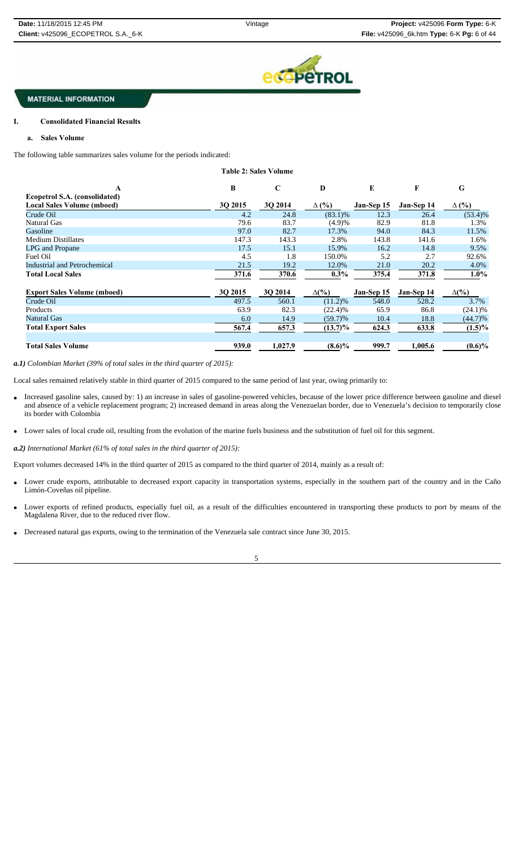

## **I. Consolidated Financial Results**

### **a. Sales Volume**

The following table summarizes sales volume for the periods indicated:

|                                     |         | <b>Table 2: Sales Volume</b> |              |            |            |              |
|-------------------------------------|---------|------------------------------|--------------|------------|------------|--------------|
| А                                   | В       | $\mathbf C$                  | D            | E          | F          | G            |
| Ecopetrol S.A. (consolidated)       |         |                              |              |            |            |              |
| <b>Local Sales Volume (mboed)</b>   | 3Q 2015 | 30 2014                      | $\Delta$ (%) | Jan-Sep 15 | Jan-Sep 14 | $\Delta$ (%) |
| Crude Oil                           | 4.2     | 24.8                         | $(83.1)\%$   | 12.3       | 26.4       | $(53.4)\%$   |
| Natural Gas                         | 79.6    | 83.7                         | (4.9)%       | 82.9       | 81.8       | 1.3%         |
| Gasoline                            | 97.0    | 82.7                         | 17.3%        | 94.0       | 84.3       | 11.5%        |
| <b>Medium Distillates</b>           | 147.3   | 143.3                        | 2.8%         | 143.8      | 141.6      | 1.6%         |
| <b>LPG</b> and Propane              | 17.5    | 15.1                         | 15.9%        | 16.2       | 14.8       | 9.5%         |
| Fuel Oil                            | 4.5     | 1.8                          | 150.0%       | 5.2        | 2.7        | 92.6%        |
| <b>Industrial and Petrochemical</b> | 21.5    | 19.2                         | 12.0%        | 21.0       | 20.2       | 4.0%         |
| <b>Total Local Sales</b>            | 371.6   | 370.6                        | $0.3\%$      | 375.4      | 371.8      | $1.0\%$      |
| <b>Export Sales Volume (mboed)</b>  | 3Q 2015 | 3Q 2014                      | $\Delta(\%)$ | Jan-Sep 15 | Jan-Sep 14 | $\Delta(\%)$ |
| Crude Oil                           | 497.5   | 560.1                        | $(11.2)\%$   | 548.0      | 528.2      | 3.7%         |
| Products                            | 63.9    | 82.3                         | $(22.4)\%$   | 65.9       | 86.8       | $(24.1)\%$   |
| Natural Gas                         | 6.0     | 14.9                         | $(59.7)\%$   | 10.4       | 18.8       | $(44.7)\%$   |
| <b>Total Export Sales</b>           | 567.4   | 657.3                        | $(13.7)\%$   | 624.3      | 633.8      | $(1.5)\%$    |
| <b>Total Sales Volume</b>           | 939.0   | 1,027.9                      | $(8.6)\%$    | 999.7      | 1,005.6    | $(0.6)\%$    |

*a.1) Colombian Market (39% of total sales in the third quarter of 2015):* 

Local sales remained relatively stable in third quarter of 2015 compared to the same period of last year, owing primarily to:

- Increased gasoline sales, caused by: 1) an increase in sales of gasoline-powered vehicles, because of the lower price difference between gasoline and diesel and absence of a vehicle replacement program; 2) increased demand in areas along the Venezuelan border, due to Venezuela's decision to temporarily close its border with Colombia
- Lower sales of local crude oil, resulting from the evolution of the marine fuels business and the substitution of fuel oil for this segment.

*a.2) International Market (61% of total sales in the third quarter of 2015):*

Export volumes decreased 14% in the third quarter of 2015 as compared to the third quarter of 2014, mainly as a result of:

- Lower crude exports, attributable to decreased export capacity in transportation systems, especially in the southern part of the country and in the Caño Limón-Coveñas oil pipeline.
- Lower exports of refined products, especially fuel oil, as a result of the difficulties encountered in transporting these products to port by means of the Magdalena River, due to the reduced river flow.
- Decreased natural gas exports, owing to the termination of the Venezuela sale contract since June 30, 2015.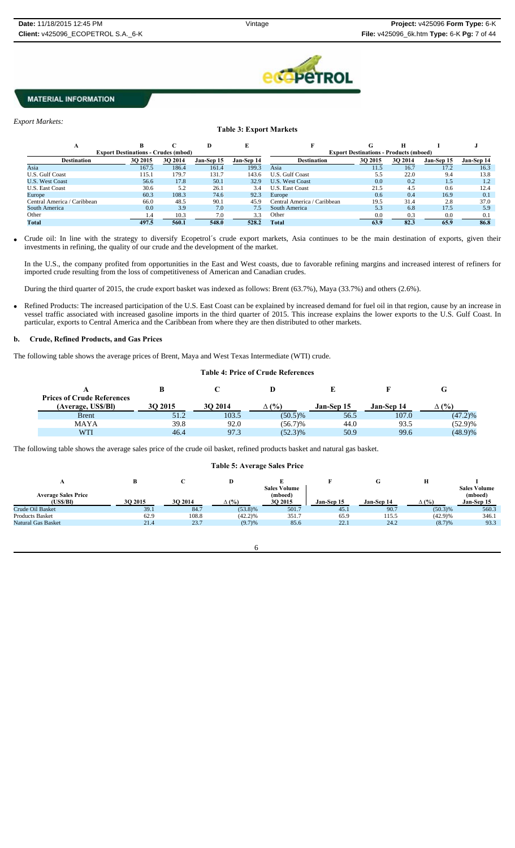

### *Export Markets:*

## **Table 3: Export Markets**

|                             | <b>Export Destinations - Crudes (mbod)</b> |         |            |            |                             | <b>Export Destinations - Products (mboed)</b> |         |            |            |
|-----------------------------|--------------------------------------------|---------|------------|------------|-----------------------------|-----------------------------------------------|---------|------------|------------|
| <b>Destination</b>          | 30 2015                                    | 3Q 2014 | Jan-Sep 15 | Jan-Sep 14 | <b>Destination</b>          | 3Q 2015                                       | 3Q 2014 | Jan-Sep 15 | Jan-Sep 14 |
| Asia                        | 167.5                                      | 186.4   | 161.4      | 199.3      | Asia                        | 11.5                                          | 16.7    | 17.2       | 16.3       |
| <b>U.S. Gulf Coast</b>      | 115.1                                      | 179.7   | 131.7      | 143.6      | <b>U.S. Gulf Coast</b>      | 5.5                                           | 22.0    | 9.4        | 13.8       |
| <b>U.S. West Coast</b>      | 56.6                                       | 17.8    | 50.1       | 32.9       | <b>U.S. West Coast</b>      | 0.0                                           | 0.2     | 1.5        | 1.2        |
| <b>U.S. East Coast</b>      | 30.6                                       | 5.2     | 26.1       | 3.4        | <b>U.S. East Coast</b>      | 21.5                                          | 4.5     | 0.6        | 12.4       |
| Europe                      | 60.3                                       | 108.3   | 74.6       | 92.3       | Europe                      | 0.6                                           | 0.4     | 16.9       | 0.1        |
| Central America / Caribbean | 66.0                                       | 48.5    | 90.1       | 45.9       | Central America / Caribbean | 19.5                                          | 31.4    | 2.8        | 37.0       |
| South America               | 0.0                                        | 3.9     | 7.0        | 7.5        | South America               | 5.3                                           | 6.8     | 17.5       | 5.9        |
| Other                       | 1.4                                        | 10.3    | 7.0        | 3.3        | Other                       | 0.0                                           | 0.3     | 0.0        | 0.1        |
| <b>Total</b>                | 497.5                                      | 560.1   | 548.0      | 528.2      | Total                       | 63.9                                          | 82.3    | 65.9       | 86.8       |

 Crude oil: In line with the strategy to diversify Ecopetrol´s crude export markets, Asia continues to be the main destination of exports, given their investments in refining, the quality of our crude and the development of the market.

In the U.S., the company profited from opportunities in the East and West coasts, due to favorable refining margins and increased interest of refiners for imported crude resulting from the loss of competitiveness of American and Canadian crudes.

During the third quarter of 2015, the crude export basket was indexed as follows: Brent (63.7%), Maya (33.7%) and others (2.6%).

 Refined Products: The increased participation of the U.S. East Coast can be explained by increased demand for fuel oil in that region, cause by an increase in vessel traffic associated with increased gasoline imports in the third quarter of 2015. This increase explains the lower exports to the U.S. Gulf Coast. In particular, exports to Central America and the Caribbean from where they are then distributed to other markets.

#### **b. Crude, Refined Products, and Gas Prices**

The following table shows the average prices of Brent, Maya and West Texas Intermediate (WTI) crude.

### **Table 4: Price of Crude References**

| <b>Prices of Crude References</b> |         |         |            |                   |                   |            |
|-----------------------------------|---------|---------|------------|-------------------|-------------------|------------|
| (Average, US\$/Bl)                | 30 2015 | 3O 2014 | ∆ (%)      | <b>Jan-Sep 15</b> | <b>Jan-Sep 14</b> | (%)        |
| <b>B</b> rent                     | 51.2    | 103.5   | $(50.5)\%$ | 56.5              | 107.0             | $(47.2)\%$ |
| <b>MAYA</b>                       | 39.8    | 92.0    | (56.7)%    | 44.0              | 93.5              | $(52.9)\%$ |
| WTI                               | 46.4    | 97.3    | (52.3)%    | 50.9              | 99.6              | $(48.9)\%$ |

The following table shows the average sales price of the crude oil basket, refined products basket and natural gas basket.

### **Table 5: Average Sales Price**

|                            |         |         |              |                                |            | u          |              |                                |
|----------------------------|---------|---------|--------------|--------------------------------|------------|------------|--------------|--------------------------------|
| <b>Average Sales Price</b> |         |         |              | <b>Sales Volume</b><br>(mboed) |            |            |              | <b>Sales Volume</b><br>(mboed) |
| (US\$/BI)                  | 3O 2015 | 30 2014 | $\Delta$ (%) | 3O 2015                        | Jan-Sep 15 | Jan-Sep 14 | $\Delta$ (%) | Jan-Sep 15                     |
| Crude Oil Basket           | 39.1    | 84.7    | $(53.8)\%$   | 501.7                          | 45.1       | 90.7       | $(50.3)\%$   | 560.3                          |
| <b>Products Basket</b>     | 62.9    | 108.8   | (42.2)%      | 351.7                          | 65.9       | 115.5      | (42.9)%      | 346.1                          |
| <b>Natural Gas Basket</b>  | 21.4    | 23.7    | (9.7)%       | 85.6                           | 22.1       | 24.2       | (8.7)%       | 93.3                           |

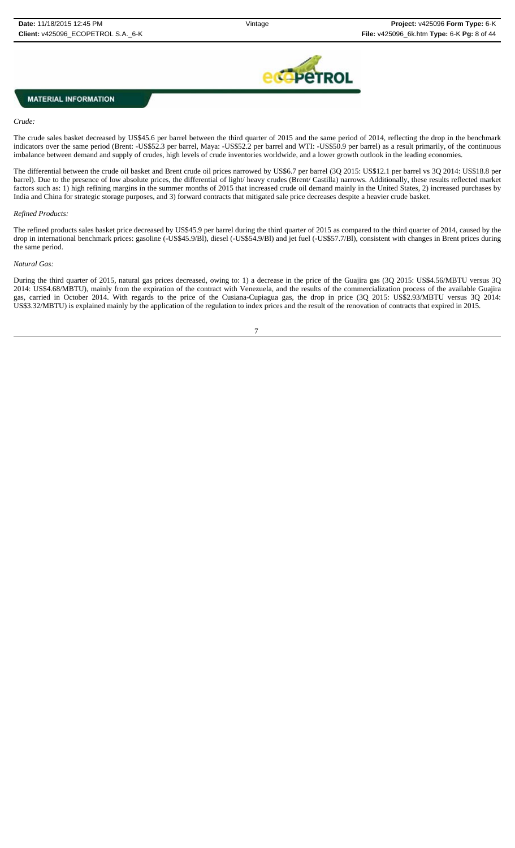

### *Crude:*

The crude sales basket decreased by US\$45.6 per barrel between the third quarter of 2015 and the same period of 2014, reflecting the drop in the benchmark indicators over the same period (Brent: -US\$52.3 per barrel, Maya: -US\$52.2 per barrel and WTI: -US\$50.9 per barrel) as a result primarily, of the continuous imbalance between demand and supply of crudes, high levels of crude inventories worldwide, and a lower growth outlook in the leading economies.

The differential between the crude oil basket and Brent crude oil prices narrowed by US\$6.7 per barrel (3Q 2015: US\$12.1 per barrel vs 3Q 2014: US\$18.8 per barrel). Due to the presence of low absolute prices, the differential of light/ heavy crudes (Brent/ Castilla) narrows. Additionally, these results reflected market factors such as: 1) high refining margins in the summer months of 2015 that increased crude oil demand mainly in the United States, 2) increased purchases by India and China for strategic storage purposes, and 3) forward contracts that mitigated sale price decreases despite a heavier crude basket.

#### *Refined Products:*

The refined products sales basket price decreased by US\$45.9 per barrel during the third quarter of 2015 as compared to the third quarter of 2014, caused by the drop in international benchmark prices: gasoline (-US\$45.9/Bl), diesel (-US\$54.9/Bl) and jet fuel (-US\$57.7/Bl), consistent with changes in Brent prices during the same period.

#### *Natural Gas:*

During the third quarter of 2015, natural gas prices decreased, owing to: 1) a decrease in the price of the Guajira gas (3Q 2015: US\$4.56/MBTU versus 3Q 2014: US\$4.68/MBTU), mainly from the expiration of the contract with Venezuela, and the results of the commercialization process of the available Guajira gas, carried in October 2014. With regards to the price of the Cusiana-Cupiagua gas, the drop in price (3Q 2015: US\$2.93/MBTU versus 3Q 2014: US\$3.32/MBTU) is explained mainly by the application of the regulation to index prices and the result of the renovation of contracts that expired in 2015.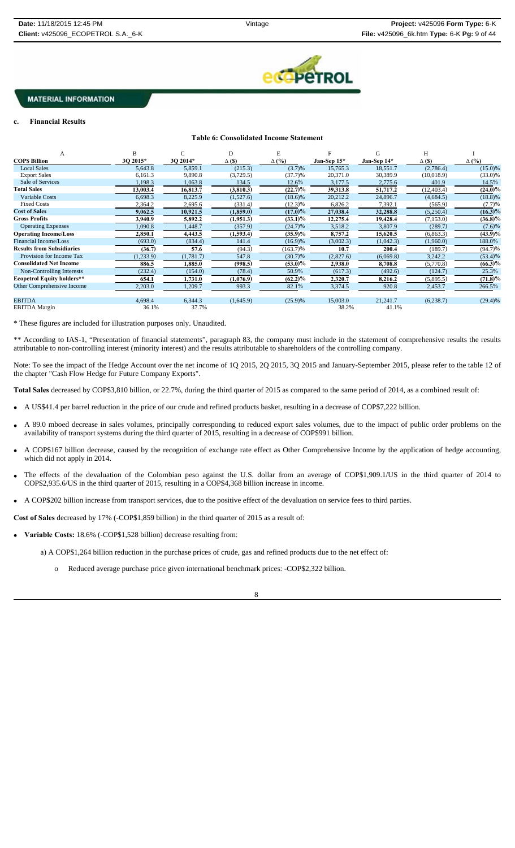

## **Financial Results**

### **Table 6: Consolidated Income Statement**

| A                                 | B         |           | D             |              |             | G           | н             |              |
|-----------------------------------|-----------|-----------|---------------|--------------|-------------|-------------|---------------|--------------|
| <b>COPS Billion</b>               | 30 2015*  | 3O 2014*  | $\Delta$ (\$) | $\Delta$ (%) | Jan-Sep 15* | Jan-Sep 14* | $\Delta$ (\$) | $\Delta$ (%) |
| <b>Local Sales</b>                | 5.643.8   | 5,859.1   | (215.3)       | (3.7)%       | 15,765.3    | 18.551.7    | (2.786.4)     | (15.0)%      |
| <b>Export Sales</b>               | 6.161.3   | 9,890.8   | (3,729.5)     | (37.7)%      | 20,371.0    | 30,389.9    | (10,018.9)    | $(33.0)\%$   |
| Sale of Services                  | 1,198.3   | 1,063.8   | 134.5         | 12.6%        | 3,177.5     | 2,775.6     | 401.9         | 14.5%        |
| <b>Total Sales</b>                | 13,003.4  | 16,813.7  | (3,810.3)     | $(22.7)\%$   | 39,313.8    | 51,717.2    | (12, 403.4)   | $(24.0)\%$   |
| <b>Variable Costs</b>             | 6,698.3   | 8,225.9   | (1,527.6)     | $(18.6)\%$   | 20,212.2    | 24,896.7    | (4,684.5)     | $(18.8)\%$   |
| <b>Fixed Costs</b>                | 2,364.2   | 2,695.6   | (331.4)       | $(12.3)\%$   | 6,826.2     | 7,392.1     | (565.9)       | (7.7)%       |
| <b>Cost of Sales</b>              | 9,062.5   | 10,921.5  | (1,859.0)     | $(17.0)\%$   | 27,038.4    | 32,288.8    | (5,250.4)     | $(16.3)\%$   |
| <b>Gross Profits</b>              | 3,940.9   | 5,892.2   | (1,951.3)     | $(33.1)\%$   | 12,275.4    | 19,428.4    | (7, 153.0)    | (36.8)%      |
| <b>Operating Expenses</b>         | 1,090.8   | 1,448.7   | (357.9)       | (24.7)%      | 3,518.2     | 3,807.9     | (289.7)       | (7.6)%       |
| <b>Operating Income/Loss</b>      | 2,850.1   | 4,443.5   | (1,593.4)     | $(35.9)\%$   | 8,757.2     | 15,620.5    | (6, 863.3)    | (43.9)%      |
| Financial Income/Loss             | (693.0)   | (834.4)   | 141.4         | $(16.9)\%$   | (3,002.3)   | (1,042.3)   | (1,960.0)     | 188.0%       |
| <b>Results from Subsidiaries</b>  | (36.7)    | 57.6      | (94.3)        | $(163.7)\%$  | 10.7        | 200.4       | (189.7)       | (94.7)%      |
| Provision for Income Tax          | (1,233.9) | (1,781.7) | 547.8         | $(30.7)\%$   | (2,827.6)   | (6,069.8)   | 3,242.2       | $(53.4)\%$   |
| <b>Consolidated Net Income</b>    | 886.5     | 1,885.0   | (998.5)       | $(53.0)\%$   | 2,938.0     | 8,708.8     | (5,770.8)     | $(66.3)\%$   |
| Non-Controlling Interests         | (232.4)   | (154.0)   | (78.4)        | 50.9%        | (617.3)     | (492.6)     | (124.7)       | 25.3%        |
| <b>Ecopetrol Equity holders**</b> | 654.1     | 1,731.0   | (1,076.9)     | $(62.2)\%$   | 2,320.7     | 8,216.2     | (5,895.5)     | $(71.8)\%$   |
| Other Comprehensive Income        | 2,203.0   | 1,209.7   | 993.3         | 82.1%        | 3,374.5     | 920.8       | 2,453.7       | 266.5%       |
| <b>EBITDA</b>                     | 4,698.4   | 6,344.3   | (1,645.9)     | (25.9)%      | 15,003.0    | 21,241.7    | (6,238.7)     | (29.4)%      |
| <b>EBITDA</b> Margin              | 36.1%     | 37.7%     |               |              | 38.2%       | 41.1%       |               |              |

\* These figures are included for illustration purposes only. Unaudited.

\*\* According to IAS-1, "Presentation of financial statements", paragraph 83, the company must include in the statement of comprehensive results the results attributable to non-controlling interest (minority interest) and the results attributable to shareholders of the controlling company.

Note: To see the impact of the Hedge Account over the net income of 1Q 2015, 2Q 2015, 3Q 2015 and January-September 2015, please refer to the table 12 of the chapter "Cash Flow Hedge for Future Company Exports".

**Total Sales** decreased by COP\$3,810 billion, or 22.7%, during the third quarter of 2015 as compared to the same period of 2014, as a combined result of:

- A US\$41.4 per barrel reduction in the price of our crude and refined products basket, resulting in a decrease of COP\$7,222 billion.
- A 89.0 mboed decrease in sales volumes, principally corresponding to reduced export sales volumes, due to the impact of public order problems on the availability of transport systems during the third quarter of 2015, resulting in a decrease of COP\$991 billion.
- A COP\$167 billion decrease, caused by the recognition of exchange rate effect as Other Comprehensive Income by the application of hedge accounting, which did not apply in 2014.
- The effects of the devaluation of the Colombian peso against the U.S. dollar from an average of COP\$1,909.1/US in the third quarter of 2014 to COP\$2,935.6/US in the third quarter of 2015, resulting in a COP\$4,368 billion increase in income.
- A COP\$202 billion increase from transport services, due to the positive effect of the devaluation on service fees to third parties.

**Cost of Sales** decreased by 17% (-COP\$1,859 billion) in the third quarter of 2015 as a result of:

**Variable Costs:** 18.6% (-COP\$1,528 billion) decrease resulting from:

a) A COP\$1,264 billion reduction in the purchase prices of crude, gas and refined products due to the net effect of:

o Reduced average purchase price given international benchmark prices: -COP\$2,322 billion.

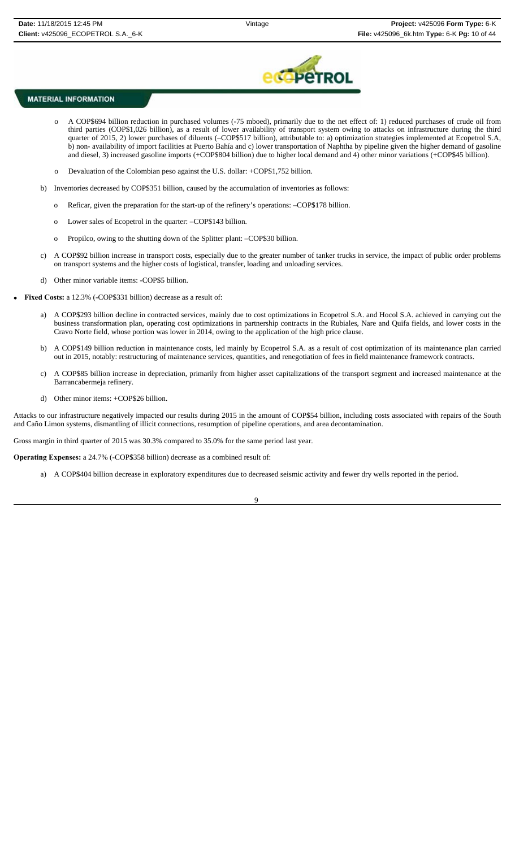

- A COP\$694 billion reduction in purchased volumes (-75 mboed), primarily due to the net effect of: 1) reduced purchases of crude oil from third parties (COP\$1,026 billion), as a result of lower availability of transport system owing to attacks on infrastructure during the third quarter of 2015, 2) lower purchases of diluents (–COP\$517 billion), attributable to: a) optimization strategies implemented at Ecopetrol S.A, b) non- availability of import facilities at Puerto Bahía and c) lower transportation of Naphtha by pipeline given the higher demand of gasoline and diesel, 3) increased gasoline imports (+COP\$804 billion) due to higher local demand and 4) other minor variations (+COP\$45 billion).
- Devaluation of the Colombian peso against the U.S. dollar: +COP\$1,752 billion.
- b) Inventories decreased by COP\$351 billion, caused by the accumulation of inventories as follows:
	- o Reficar, given the preparation for the start-up of the refinery's operations: –COP\$178 billion.
	- o Lower sales of Ecopetrol in the quarter: –COP\$143 billion.
	- o Propilco, owing to the shutting down of the Splitter plant: –COP\$30 billion.
- c) A COP\$92 billion increase in transport costs, especially due to the greater number of tanker trucks in service, the impact of public order problems on transport systems and the higher costs of logistical, transfer, loading and unloading services.
- d) Other minor variable items: -COP\$5 billion.
- **Fixed Costs:** a 12.3% (-COP\$331 billion) decrease as a result of:
	- a) A COP\$293 billion decline in contracted services, mainly due to cost optimizations in Ecopetrol S.A. and Hocol S.A. achieved in carrying out the business transformation plan, operating cost optimizations in partnership contracts in the Rubiales, Nare and Quifa fields, and lower costs in the Cravo Norte field, whose portion was lower in 2014, owing to the application of the high price clause.
	- b) A COP\$149 billion reduction in maintenance costs, led mainly by Ecopetrol S.A. as a result of cost optimization of its maintenance plan carried out in 2015, notably: restructuring of maintenance services, quantities, and renegotiation of fees in field maintenance framework contracts.
	- c) A COP\$85 billion increase in depreciation, primarily from higher asset capitalizations of the transport segment and increased maintenance at the Barrancabermeja refinery.
	- d) Other minor items: +COP\$26 billion.

Attacks to our infrastructure negatively impacted our results during 2015 in the amount of COP\$54 billion, including costs associated with repairs of the South and Caño Limon systems, dismantling of illicit connections, resumption of pipeline operations, and area decontamination.

Gross margin in third quarter of 2015 was 30.3% compared to 35.0% for the same period last year.

**Operating Expenses:** a 24.7% (-COP\$358 billion) decrease as a combined result of:

a) A COP\$404 billion decrease in exploratory expenditures due to decreased seismic activity and fewer dry wells reported in the period.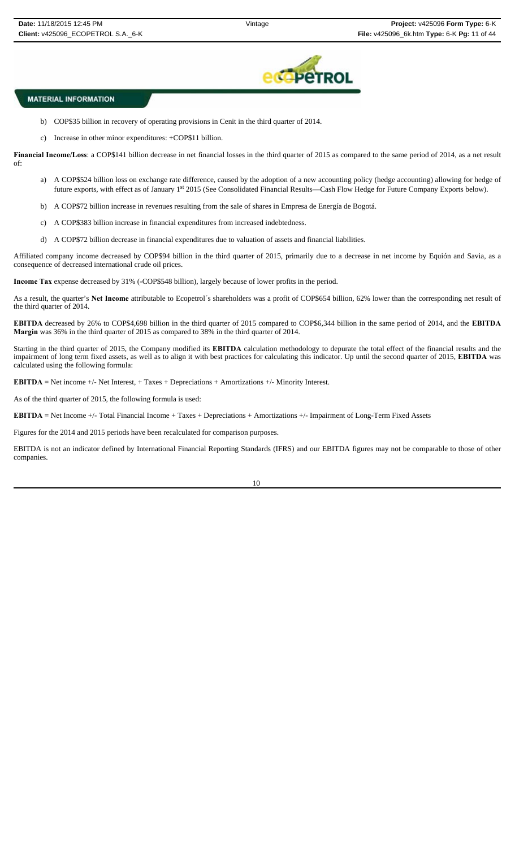

- b) COP\$35 billion in recovery of operating provisions in Cenit in the third quarter of 2014.
- c) Increase in other minor expenditures: +COP\$11 billion.

Financial Income/Loss: a COP\$141 billion decrease in net financial losses in the third quarter of 2015 as compared to the same period of 2014, as a net result of:

- a) A COP\$524 billion loss on exchange rate difference, caused by the adoption of a new accounting policy (hedge accounting) allowing for hedge of future exports, with effect as of January 1st 2015 (See Consolidated Financial Results—Cash Flow Hedge for Future Company Exports below).
- b) A COP\$72 billion increase in revenues resulting from the sale of shares in Empresa de Energía de Bogotá.
- c) A COP\$383 billion increase in financial expenditures from increased indebtedness.
- d) A COP\$72 billion decrease in financial expenditures due to valuation of assets and financial liabilities.

Affiliated company income decreased by COP\$94 billion in the third quarter of 2015, primarily due to a decrease in net income by Equión and Savia, as a consequence of decreased international crude oil prices.

**Income Tax** expense decreased by 31% (-COP\$548 billion), largely because of lower profits in the period.

As a result, the quarter's **Net Income** attributable to Ecopetrol´s shareholders was a profit of COP\$654 billion, 62% lower than the corresponding net result of the third quarter of 2014.

**EBITDA** decreased by 26% to COP\$4,698 billion in the third quarter of 2015 compared to COP\$6,344 billion in the same period of 2014, and the **EBITDA Margin** was 36% in the third quarter of 2015 as compared to 38% in the third quarter of 2014.

Starting in the third quarter of 2015, the Company modified its **EBITDA** calculation methodology to depurate the total effect of the financial results and the impairment of long term fixed assets, as well as to align it with best practices for calculating this indicator. Up until the second quarter of 2015, **EBITDA** was calculated using the following formula:

**EBITDA** = Net income  $+/-$  Net Interest,  $+$  Taxes  $+$  Depreciations  $+$  Amortizations  $+/-$  Minority Interest.

As of the third quarter of 2015, the following formula is used:

**EBITDA** = Net Income +/- Total Financial Income + Taxes + Depreciations + Amortizations +/- Impairment of Long-Term Fixed Assets

Figures for the 2014 and 2015 periods have been recalculated for comparison purposes.

EBITDA is not an indicator defined by International Financial Reporting Standards (IFRS) and our EBITDA figures may not be comparable to those of other companies.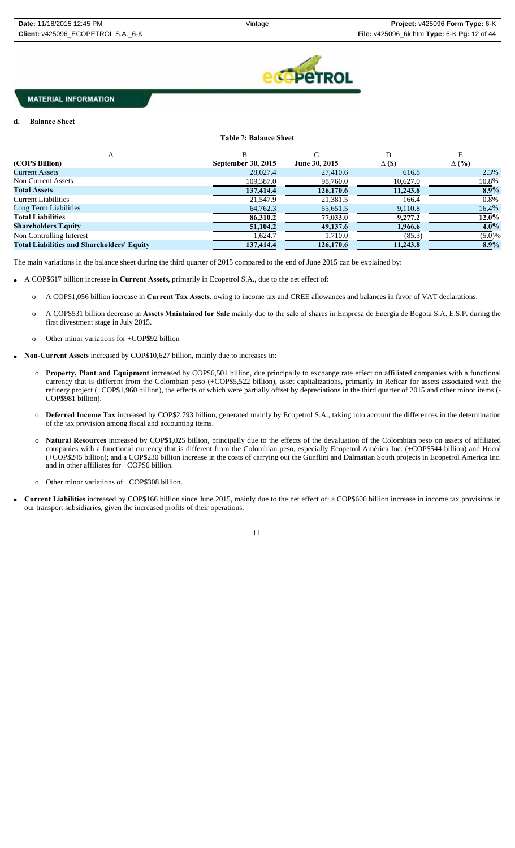

## **Balance Sheet**

| тимге та панинге онес                             |                           |               |               |              |  |  |  |  |  |
|---------------------------------------------------|---------------------------|---------------|---------------|--------------|--|--|--|--|--|
| A                                                 | B                         |               | D             | E            |  |  |  |  |  |
| (COP\$ Billion)                                   | <b>September 30, 2015</b> | June 30, 2015 | $\Delta$ (\$) | $\Delta$ (%) |  |  |  |  |  |
| <b>Current Assets</b>                             | 28,027.4                  | 27,410.6      | 616.8         | 2.3%         |  |  |  |  |  |
| Non Current Assets                                | 109,387.0                 | 98,760.0      | 10,627.0      | 10.8%        |  |  |  |  |  |
| <b>Total Assets</b>                               | 137,414.4                 | 126,170.6     | 11,243.8      | $8.9\%$      |  |  |  |  |  |
| <b>Current Liabilities</b>                        | 21,547.9                  | 21,381.5      | 166.4         | $0.8\%$      |  |  |  |  |  |
| Long Term Liabilities                             | 64,762.3                  | 55,651.5      | 9,110.8       | 16.4%        |  |  |  |  |  |
| <b>Total Liabilities</b>                          | 86,310.2                  | 77,033.0      | 9,277.2       | 12.0%        |  |  |  |  |  |
| <b>Shareholders Equity</b>                        | 51,104.2                  | 49,137.6      | 1,966.6       | $4.0\%$      |  |  |  |  |  |
| Non Controlling Interest                          | 1.624.7                   | 1.710.0       | (85.3)        | (5.0)%       |  |  |  |  |  |
| <b>Total Liabilities and Shareholders' Equity</b> | 137,414.4                 | 126,170.6     | 11,243.8      | 8.9%         |  |  |  |  |  |

**Table 7: Balance Sheet**

The main variations in the balance sheet during the third quarter of 2015 compared to the end of June 2015 can be explained by:

A COP\$617 billion increase in **Current Assets**, primarily in Ecopetrol S.A., due to the net effect of:

- o A COP\$1,056 billion increase in **Current Tax Assets,** owing to income tax and CREE allowances and balances in favor of VAT declarations.
- o A COP\$531 billion decrease in **Assets Maintained for Sale** mainly due to the sale of shares in Empresa de Energía de Bogotá S.A. E.S.P. during the first divestment stage in July 2015.
- Other minor variations for +COP\$92 billion
- **Non-Current Assets** increased by COP\$10,627 billion, mainly due to increases in:
	- o **Property, Plant and Equipment** increased by COP\$6,501 billion, due principally to exchange rate effect on affiliated companies with a functional currency that is different from the Colombian peso (+COP\$5,522 billion), asset capitalizations, primarily in Reficar for assets associated with the refinery project (+COP\$1,960 billion), the effects of which were partially offset by depreciations in the third quarter of 2015 and other minor items (- COP\$981 billion).
	- o **Deferred Income Tax** increased by COP\$2,793 billion, generated mainly by Ecopetrol S.A., taking into account the differences in the determination of the tax provision among fiscal and accounting items.
	- o **Natural Resources** increased by COP\$1,025 billion, principally due to the effects of the devaluation of the Colombian peso on assets of affiliated companies with a functional currency that is different from the Colombian peso, especially Ecopetrol América Inc. (+COP\$544 billion) and Hocol (+COP\$245 billion); and a COP\$230 billion increase in the costs of carrying out the Gunflint and Dalmatian South projects in Ecopetrol America Inc. and in other affiliates for +COP\$6 billion.
	- o Other minor variations of +COP\$308 billion.
- **Current Liabilities** increased by COP\$166 billion since June 2015, mainly due to the net effect of: a COP\$606 billion increase in income tax provisions in our transport subsidiaries, given the increased profits of their operations.

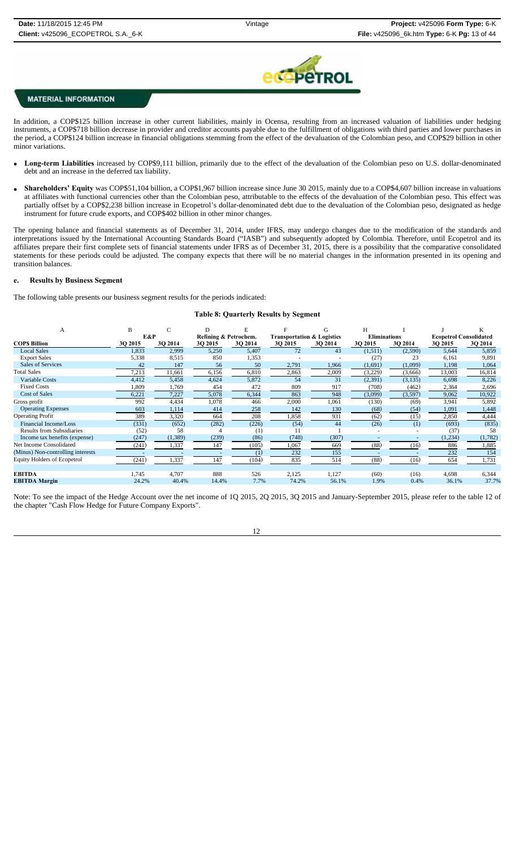

In addition, a COP\$125 billion increase in other current liabilities, mainly in Ocensa, resulting from an increased valuation of liabilities under hedging instruments, a COP\$718 billion decrease in provider and creditor accounts payable due to the fulfillment of obligations with third parties and lower purchases in the period, a COP\$124 billion increase in financial obligations stemming from the effect of the devaluation of the Colombian peso, and COP\$29 billion in other minor variations.

- **Long-term Liabilities** increased by COP\$9,111 billion, primarily due to the effect of the devaluation of the Colombian peso on U.S. dollar-denominated debt and an increase in the deferred tax liability.
- **Shareholders' Equity** was COP\$51,104 billion, a COP\$1,967 billion increase since June 30 2015, mainly due to a COP\$4,607 billion increase in valuations at affiliates with functional currencies other than the Colombian peso, attributable to the effects of the devaluation of the Colombian peso. This effect was partially offset by a COP\$2,238 billion increase in Ecopetrol's dollar-denominated debt due to the devaluation of the Colombian peso, designated as hedge instrument for future crude exports, and COP\$402 billion in other minor changes.

The opening balance and financial statements as of December 31, 2014, under IFRS, may undergo changes due to the modification of the standards and interpretations issued by the International Accounting Standards Board ("IASB") and subsequently adopted by Colombia. Therefore, until Ecopetrol and its affiliates prepare their first complete sets of financial statements under IFRS as of December 31, 2015, there is a possibility that the comparative consolidated statements for these periods could be adjusted. The company expects that there will be no material changes in the information presented in its opening and transition balances.

#### **e. Results by Business Segment**

The following table presents our business segment results for the periods indicated:

## **Table 8: Quarterly Results by Segment**

| А                                  | B       |          |                       |         |                                       | G       | н                   |          |                               | r.      |
|------------------------------------|---------|----------|-----------------------|---------|---------------------------------------|---------|---------------------|----------|-------------------------------|---------|
|                                    | E&P     |          | Refining & Petrochem. |         | <b>Transportation &amp; Logistics</b> |         | <b>Eliminations</b> |          | <b>Ecopetrol Consolidated</b> |         |
| <b>COPS Billion</b>                | 3Q 2015 | 30 2014  | 30 2015               | 30 2014 | 3Q 2015                               | 3Q 2014 | 3Q 2015             | 3Q 2014  | 3Q 2015                       | 3Q 2014 |
| <b>Local Sales</b>                 | 1,833   | 2,999    | 5,250                 | 5,407   | 72                                    | 43      | (1,511)             | (2,590)  | 5,644                         | 5,859   |
| <b>Export Sales</b>                | 5,338   | 8,515    | 850                   | 1,353   |                                       |         | (27)                | 23       | 6,161                         | 9,891   |
| Sales of Services                  | 42      | 147      | 56                    | 50      | 2,791                                 | 1,966   | (1,691)             | (1,099)  | 1,198                         | 1,064   |
| <b>Total Sales</b>                 | 7,213   | 11,661   | 6,156                 | 6,810   | 2,863                                 | 2,009   | (3,229)             | (3,666)  | 13,003                        | 16,814  |
| <b>Variable Costs</b>              | 4,412   | 5,458    | 4,624                 | 5,872   | 54                                    | 31      | (2,391)             | (3, 135) | 6,698                         | 8,226   |
| <b>Fixed Costs</b>                 | 1,809   | .769     | 454                   | 472     | 809                                   | 917     | (708)               | (462)    | 2,364                         | 2,696   |
| <b>Cost of Sales</b>               | 6,221   | 7,227    | 5,078                 | 6,344   | 863                                   | 948     | (3,099)             | (3,597)  | 9,062                         | 10,922  |
| Gross profit                       | 992     | 4,434    | 1,078                 | 466     | 2,000                                 | 1,061   | (130)               | (69)     | 3,941                         | 5,892   |
| <b>Operating Expenses</b>          | 603     | 1,114    | 414                   | 258     | 142                                   | 130     | (68)                | (54)     | 1,091                         | 1,448   |
| <b>Operating Profit</b>            | 389     | 3,320    | 664                   | 208     | 1,858                                 | 931     | (62)                | (15)     | 2,850                         | 4,444   |
| Financial Income/Loss              | (331)   | (652)    | (282)                 | (226)   | (54)                                  | 44      | (26)                | (1)      | (693)                         | (835)   |
| <b>Results from Subsidiaries</b>   | (52)    | 58       |                       | (1)     |                                       |         |                     |          | (37)                          | 58      |
| Income tax benefits (expense)      | (247)   | (1, 389) | (239)                 | (86)    | (748)                                 | (307)   |                     |          | (1,234)                       | (1,782) |
| Net Income Consolidated            | (241)   | 1,337    | 147                   | (105)   | 1,067                                 | 669     | (88)                | (16)     | 886                           | 1,885   |
| (Minus) Non-controlling interests  |         |          |                       | (1)     | 232                                   | 155     |                     |          | 232                           | 154     |
| <b>Equity Holders of Ecopetrol</b> | (241)   | 1,337    | 147                   | (104)   | 835                                   | 514     | (88)                | (16)     | 654                           | 1,731   |
|                                    |         |          |                       |         |                                       |         |                     |          |                               |         |
| <b>EBITDA</b>                      | 1,745   | 4,707    | 888                   | 526     | 2,125                                 | 1,127   | (60)                | (16)     | 4,698                         | 6,344   |
| <b>EBITDA Margin</b>               | 24.2%   | 40.4%    | 14.4%                 | 7.7%    | 74.2%                                 | 56.1%   | 1.9%                | 0.4%     | 36.1%                         | 37.7%   |

Note: To see the impact of the Hedge Account over the net income of 1Q 2015, 2Q 2015, 3Q 2015 and January-September 2015, please refer to the table 12 of the chapter "Cash Flow Hedge for Future Company Exports".

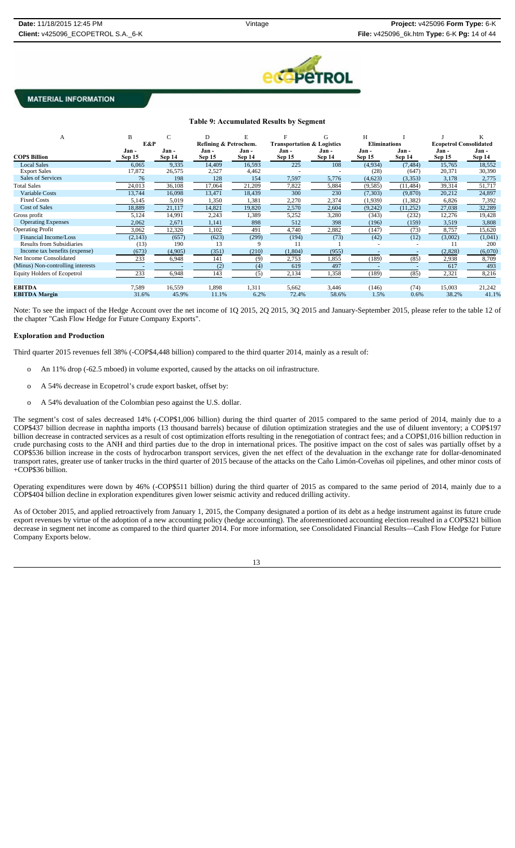

### **Table 9: Accumulated Results by Segment**

| А                                  | B             |               |                       |               |                                       | G             | Н                   |               |                               | K             |
|------------------------------------|---------------|---------------|-----------------------|---------------|---------------------------------------|---------------|---------------------|---------------|-------------------------------|---------------|
|                                    | E&P           |               | Refining & Petrochem. |               | <b>Transportation &amp; Logistics</b> |               | <b>Eliminations</b> |               | <b>Ecopetrol Consolidated</b> |               |
|                                    | Jan -         | Jan -         | Jan -                 | Jan -         | Jan -                                 | Jan -         | Jan -               | Jan-          | Jan-                          | Jan -         |
| <b>COPS Billion</b>                | <b>Sep 15</b> | <b>Sep 14</b> | <b>Sep 15</b>         | <b>Sep 14</b> | <b>Sep 15</b>                         | <b>Sep 14</b> | <b>Sep 15</b>       | <b>Sep 14</b> | <b>Sep 15</b>                 | <b>Sep 14</b> |
| <b>Local Sales</b>                 | 6,065         | 9,335         | 14,409                | 16,593        | 225                                   | 108           | (4,934)             | (7, 484)      | 15,765                        | 18,552        |
| <b>Export Sales</b>                | 17,872        | 26,575        | 2,527                 | 4,462         |                                       |               | (28)                | (647)         | 20,371                        | 30,390        |
| Sales of Services                  | 76            | 198           | 128                   | 154           | 7,597                                 | 5,776         | (4,623)             | (3,353)       | 3,178                         | 2,775         |
| <b>Total Sales</b>                 | 24,013        | 36,108        | 17,064                | 21,209        | 7,822                                 | 5,884         | (9,585)             | (11, 484)     | 39,314                        | 51,717        |
| Variable Costs                     | 13,744        | 16,098        | 13,471                | 18,439        | 300                                   | 230           | (7,303)             | (9,870)       | 20,212                        | 24,897        |
| <b>Fixed Costs</b>                 | 5,145         | 5,019         | 1,350                 | 1,381         | 2,270                                 | 2,374         | (1,939)             | (1, 382)      | 6,826                         | 7,392         |
| <b>Cost of Sales</b>               | 18,889        | 21,117        | 14,821                | 19,820        | 2,570                                 | 2,604         | (9,242)             | (11,252)      | 27,038                        | 32,289        |
| Gross profit                       | 5,124         | 14,991        | 2,243                 | 1,389         | 5,252                                 | 3,280         | (343)               | (232)         | 12,276                        | 19,428        |
| <b>Operating Expenses</b>          | 2,062         | 2,671         | 1,141                 | 898           | 512                                   | 398           | (196)               | (159)         | 3,519                         | 3,808         |
| <b>Operating Profit</b>            | 3,062         | 12,320        | 1,102                 | 491           | 4,740                                 | 2,882         | (147)               | (73)          | 8,757                         | 15,620        |
| Financial Income/Loss              | (2,143)       | (657)         | (623)                 | (299)         | (194)                                 | (73)          | (42)                | (12)          | (3,002)                       | (1,041)       |
| <b>Results from Subsidiaries</b>   | (13)          | 190           | 13                    |               | 11                                    |               |                     |               |                               | 200           |
| Income tax benefits (expense)      | (673)         | (4,905)       | (351)                 | (210)         | (1,804)                               | (955)         |                     |               | (2,828)                       | (6,070)       |
| Net Income Consolidated            | 233           | 6,948         | 141                   | (9)           | 2,753                                 | 1,855         | (189)               | (85)          | 2,938                         | 8,709         |
| (Minus) Non-controlling interests  |               |               | (2)                   | (4)           | 619                                   | 497           |                     |               | 617                           | 493           |
| <b>Equity Holders of Ecopetrol</b> | 233           | 6,948         | 143                   | (5)           | 2,134                                 | 1,358         | (189)               | (85)          | 2,321                         | 8,216         |
|                                    |               |               |                       |               |                                       |               |                     |               |                               |               |
| <b>EBITDA</b>                      | 7,589         | 16,559        | 1,898                 | 1,311         | 5,662                                 | 3,446         | (146)               | (74)          | 15,003                        | 21,242        |
| <b>EBITDA Margin</b>               | 31.6%         | 45.9%         | 11.1%                 | 6.2%          | 72.4%                                 | 58.6%         | 1.5%                | 0.6%          | 38.2%                         | 41.1%         |

Note: To see the impact of the Hedge Account over the net income of 1Q 2015, 2Q 2015, 3Q 2015 and January-September 2015, please refer to the table 12 of the chapter "Cash Flow Hedge for Future Company Exports".

### **Exploration and Production**

Third quarter 2015 revenues fell 38% (-COP\$4,448 billion) compared to the third quarter 2014, mainly as a result of:

- o An 11% drop (-62.5 mboed) in volume exported, caused by the attacks on oil infrastructure.
- o A 54% decrease in Ecopetrol's crude export basket, offset by:
- o A 54% devaluation of the Colombian peso against the U.S. dollar.

The segment's cost of sales decreased 14% (-COP\$1,006 billion) during the third quarter of 2015 compared to the same period of 2014, mainly due to a COP\$437 billion decrease in naphtha imports (13 thousand barrels) because of dilution optimization strategies and the use of diluent inventory; a COP\$197 billion decrease in contracted services as a result of cost optimization efforts resulting in the renegotiation of contract fees; and a COP\$1,016 billion reduction in crude purchasing costs to the ANH and third parties due to the drop in international prices. The positive impact on the cost of sales was partially offset by a COP\$536 billion increase in the costs of hydrocarbon transport services, given the net effect of the devaluation in the exchange rate for dollar-denominated transport rates, greater use of tanker trucks in the third quarter of 2015 because of the attacks on the Caño Limón-Coveñas oil pipelines, and other minor costs of +COP\$36 billion.

Operating expenditures were down by 46% (-COP\$511 billion) during the third quarter of 2015 as compared to the same period of 2014, mainly due to a COP\$404 billion decline in exploration expenditures given lower seismic activity and reduced drilling activity.

As of October 2015, and applied retroactively from January 1, 2015, the Company designated a portion of its debt as a hedge instrument against its future crude export revenues by virtue of the adoption of a new accounting policy (hedge accounting). The aforementioned accounting election resulted in a COP\$321 billion decrease in segment net income as compared to the third quarter 2014. For more information, see Consolidated Financial Results—Cash Flow Hedge for Future Company Exports below.

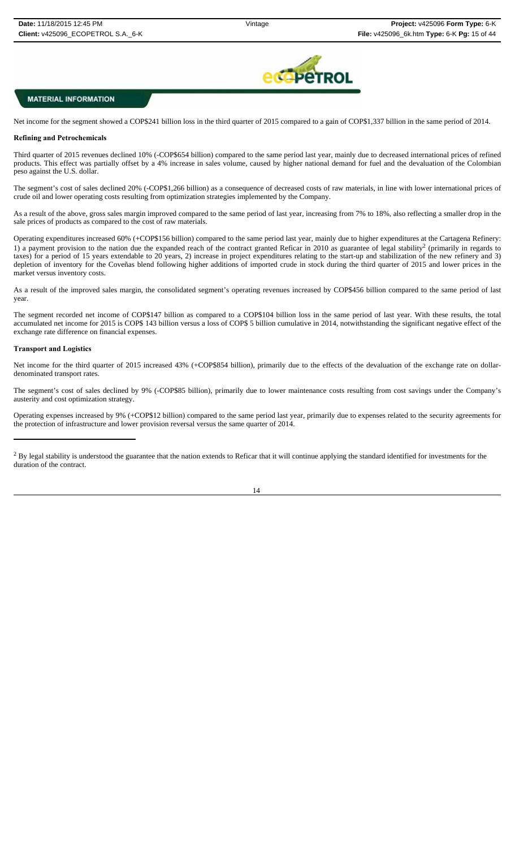

Net income for the segment showed a COP\$241 billion loss in the third quarter of 2015 compared to a gain of COP\$1,337 billion in the same period of 2014.

#### **Refining and Petrochemicals**

Third quarter of 2015 revenues declined 10% (-COP\$654 billion) compared to the same period last year, mainly due to decreased international prices of refined products. This effect was partially offset by a 4% increase in sales volume, caused by higher national demand for fuel and the devaluation of the Colombian peso against the U.S. dollar.

The segment's cost of sales declined 20% (-COP\$1,266 billion) as a consequence of decreased costs of raw materials, in line with lower international prices of crude oil and lower operating costs resulting from optimization strategies implemented by the Company.

As a result of the above, gross sales margin improved compared to the same period of last year, increasing from 7% to 18%, also reflecting a smaller drop in the sale prices of products as compared to the cost of raw materials.

Operating expenditures increased 60% (+COP\$156 billion) compared to the same period last year, mainly due to higher expenditures at the Cartagena Refinery: 1) a payment provision to the nation due the expanded reach of the contract granted Reficar in 2010 as guarantee of legal stability<sup>2</sup> (primarily in regards to taxes) for a period of 15 years extendable to 20 years, 2) increase in project expenditures relating to the start-up and stabilization of the new refinery and 3) depletion of inventory for the Coveñas blend following higher additions of imported crude in stock during the third quarter of 2015 and lower prices in the market versus inventory costs.

As a result of the improved sales margin, the consolidated segment's operating revenues increased by COP\$456 billion compared to the same period of last year.

The segment recorded net income of COP\$147 billion as compared to a COP\$104 billion loss in the same period of last year. With these results, the total accumulated net income for 2015 is COP\$ 143 billion versus a loss of COP\$ 5 billion cumulative in 2014, notwithstanding the significant negative effect of the exchange rate difference on financial expenses.

#### **Transport and Logistics**

Net income for the third quarter of 2015 increased 43% (+COP\$854 billion), primarily due to the effects of the devaluation of the exchange rate on dollardenominated transport rates.

The segment's cost of sales declined by 9% (-COP\$85 billion), primarily due to lower maintenance costs resulting from cost savings under the Company's austerity and cost optimization strategy.

Operating expenses increased by 9% (+COP\$12 billion) compared to the same period last year, primarily due to expenses related to the security agreements for the protection of infrastructure and lower provision reversal versus the same quarter of 2014.

 $2$  By legal stability is understood the guarantee that the nation extends to Reficar that it will continue applying the standard identified for investments for the duration of the contract.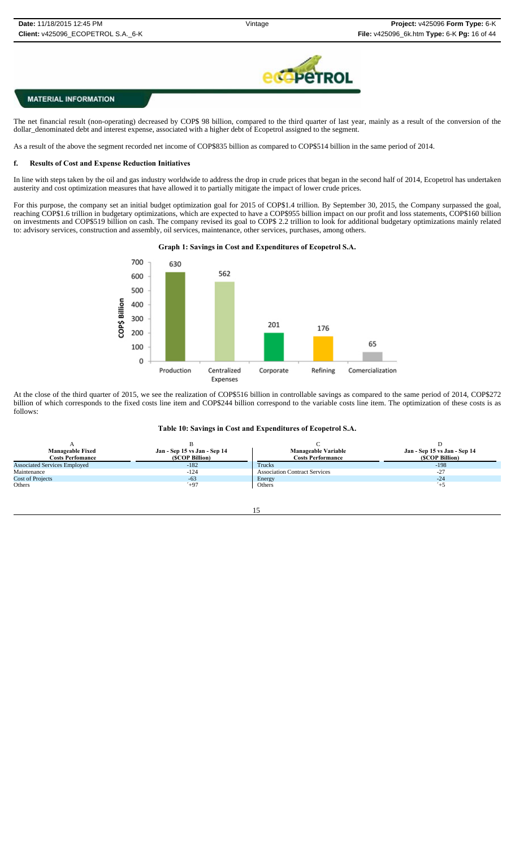

The net financial result (non-operating) decreased by COP\$ 98 billion, compared to the third quarter of last year, mainly as a result of the conversion of the dollar\_denominated debt and interest expense, associated with a higher debt of Ecopetrol assigned to the segment.

As a result of the above the segment recorded net income of COP\$835 billion as compared to COP\$514 billion in the same period of 2014.

### **f. Results of Cost and Expense Reduction Initiatives**

In line with steps taken by the oil and gas industry worldwide to address the drop in crude prices that began in the second half of 2014, Ecopetrol has undertaken austerity and cost optimization measures that have allowed it to partially mitigate the impact of lower crude prices.

For this purpose, the company set an initial budget optimization goal for 2015 of COP\$1.4 trillion. By September 30, 2015, the Company surpassed the goal, reaching COP\$1.6 trillion in budgetary optimizations, which are expected to have a COP\$955 billion impact on our profit and loss statements, COP\$160 billion on investments and COP\$519 billion on cash. The company revised its goal to COP\$ 2.2 trillion to look for additional budgetary optimizations mainly related to: advisory services, construction and assembly, oil services, maintenance, other services, purchases, among others.

**Graph 1: Savings in Cost and Expenditures of Ecopetrol S.A.** 



At the close of the third quarter of 2015, we see the realization of COP\$516 billion in controllable savings as compared to the same period of 2014, COP\$272 billion of which corresponds to the fixed costs line item and COP\$244 billion correspond to the variable costs line item. The optimization of these costs is as follows:

**Table 10: Savings in Cost and Expenditures of Ecopetrol S.A.** 

| <b>Manageable Fixed</b><br><b>Costs Perfomance</b> | Jan - Sep 15 vs Jan - Sep 14<br>(SCOP Billion) | <b>Manageable Variable</b><br><b>Costs Performance</b> | <b>Jan - Sep 15 vs Jan - Sep 14</b><br>(SCOP Billion) |
|----------------------------------------------------|------------------------------------------------|--------------------------------------------------------|-------------------------------------------------------|
| <b>Associated Services Employed</b>                | $-182$                                         | Trucks                                                 | $-198$                                                |
| Maintenance                                        | $-124$                                         | <b>Association Contract Services</b>                   | $-27$                                                 |
| <b>Cost of Projects</b>                            | $-63$                                          | Energy                                                 | $-24$                                                 |
| Others                                             | $+97$                                          | Others                                                 |                                                       |

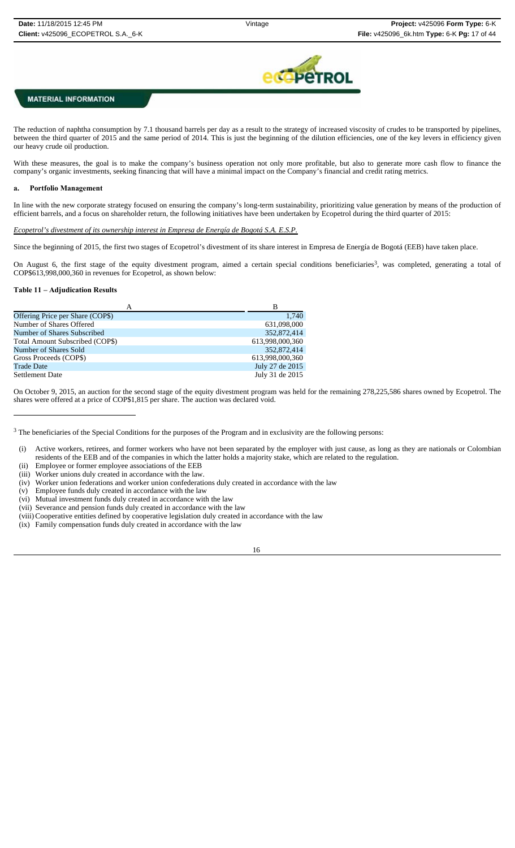

The reduction of naphtha consumption by 7.1 thousand barrels per day as a result to the strategy of increased viscosity of crudes to be transported by pipelines, between the third quarter of 2015 and the same period of 2014. This is just the beginning of the dilution efficiencies, one of the key levers in efficiency given our heavy crude oil production.

With these measures, the goal is to make the company's business operation not only more profitable, but also to generate more cash flow to finance the company's organic investments, seeking financing that will have a minimal impact on the Company's financial and credit rating metrics.

#### **a. Portfolio Management**

In line with the new corporate strategy focused on ensuring the company's long-term sustainability, prioritizing value generation by means of the production of efficient barrels, and a focus on shareholder return, the following initiatives have been undertaken by Ecopetrol during the third quarter of 2015:

#### *Ecopetrol's divestment of its ownership interest in Empresa de Energía de Bogotá S.A. E.S.P.*

Since the beginning of 2015, the first two stages of Ecopetrol's divestment of its share interest in Empresa de Energía de Bogotá (EEB) have taken place.

On August 6, the first stage of the equity divestment program, aimed a certain special conditions beneficiaries<sup>3</sup>, was completed, generating a total of COP\$613,998,000,360 in revenues for Ecopetrol, as shown below:

### **Table 11 – Adjudication Results**

| А                                | B               |
|----------------------------------|-----------------|
| Offering Price per Share (COP\$) | 1.740           |
| Number of Shares Offered         | 631,098,000     |
| Number of Shares Subscribed      | 352,872,414     |
| Total Amount Subscribed (COP\$)  | 613,998,000,360 |
| Number of Shares Sold            | 352,872,414     |
| Gross Proceeds (COP\$)           | 613,998,000,360 |
| <b>Trade Date</b>                | July 27 de 2015 |
| <b>Settlement Date</b>           | July 31 de 2015 |

On October 9, 2015, an auction for the second stage of the equity divestment program was held for the remaining 278,225,586 shares owned by Ecopetrol. The shares were offered at a price of COP\$1,815 per share. The auction was declared void.

- (i) Active workers, retirees, and former workers who have not been separated by the employer with just cause, as long as they are nationals or Colombian residents of the EEB and of the companies in which the latter holds a majority stake, which are related to the regulation.
- (ii) Employee or former employee associations of the EEB
- (iii) Worker unions duly created in accordance with the law.
- (iv) Worker union federations and worker union confederations duly created in accordance with the law
- (v) Employee funds duly created in accordance with the law
- (vi) Mutual investment funds duly created in accordance with the law
- (vii) Severance and pension funds duly created in accordance with the law
- (viii) Cooperative entities defined by cooperative legislation duly created in accordance with the law
- (ix) Family compensation funds duly created in accordance with the law

<sup>&</sup>lt;sup>3</sup> The beneficiaries of the Special Conditions for the purposes of the Program and in exclusivity are the following persons: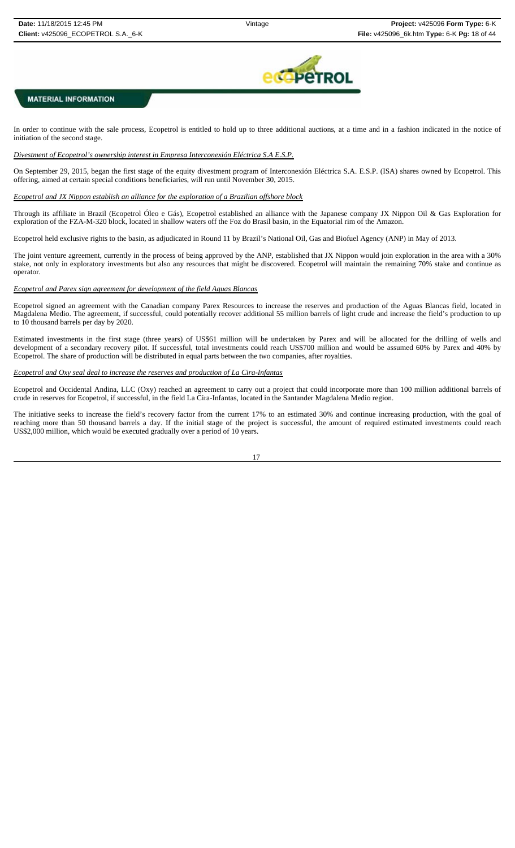

In order to continue with the sale process, Ecopetrol is entitled to hold up to three additional auctions, at a time and in a fashion indicated in the notice of initiation of the second stage.

### *Divestment of Ecopetrol's ownership interest in Empresa Interconexión Eléctrica S.A E.S.P.*

On September 29, 2015, began the first stage of the equity divestment program of Interconexión Eléctrica S.A. E.S.P. (ISA) shares owned by Ecopetrol. This offering, aimed at certain special conditions beneficiaries, will run until November 30, 2015.

#### *Ecopetrol and JX Nippon establish an alliance for the exploration of a Brazilian offshore block*

Through its affiliate in Brazil (Ecopetrol Óleo e Gás), Ecopetrol established an alliance with the Japanese company JX Nippon Oil & Gas Exploration for exploration of the FZA-M-320 block, located in shallow waters off the Foz do Brasil basin, in the Equatorial rim of the Amazon.

Ecopetrol held exclusive rights to the basin, as adjudicated in Round 11 by Brazil's National Oil, Gas and Biofuel Agency (ANP) in May of 2013.

The joint venture agreement, currently in the process of being approved by the ANP, established that JX Nippon would join exploration in the area with a 30% stake, not only in exploratory investments but also any resources that might be discovered. Ecopetrol will maintain the remaining 70% stake and continue as operator.

#### *Ecopetrol and Parex sign agreement for development of the field Aguas Blancas*

Ecopetrol signed an agreement with the Canadian company Parex Resources to increase the reserves and production of the Aguas Blancas field, located in Magdalena Medio. The agreement, if successful, could potentially recover additional 55 million barrels of light crude and increase the field's production to up to 10 thousand barrels per day by 2020.

Estimated investments in the first stage (three years) of US\$61 million will be undertaken by Parex and will be allocated for the drilling of wells and development of a secondary recovery pilot. If successful, total investments could reach US\$700 million and would be assumed 60% by Parex and 40% by Ecopetrol. The share of production will be distributed in equal parts between the two companies, after royalties.

#### *Ecopetrol and Oxy seal deal to increase the reserves and production of La Cira-Infantas*

Ecopetrol and Occidental Andina, LLC (Oxy) reached an agreement to carry out a project that could incorporate more than 100 million additional barrels of crude in reserves for Ecopetrol, if successful, in the field La Cira-Infantas, located in the Santander Magdalena Medio region.

The initiative seeks to increase the field's recovery factor from the current 17% to an estimated 30% and continue increasing production, with the goal of reaching more than 50 thousand barrels a day. If the initial stage of the project is successful, the amount of required estimated investments could reach US\$2,000 million, which would be executed gradually over a period of 10 years.

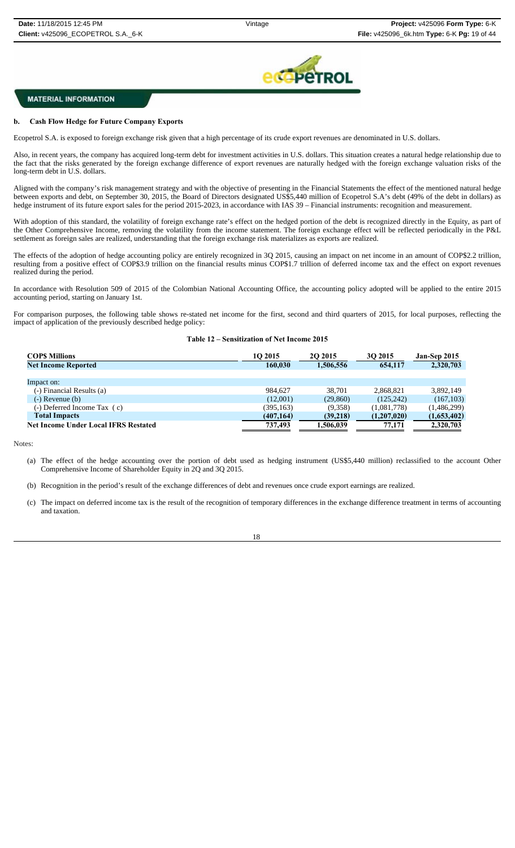

## **b. Cash Flow Hedge for Future Company Exports**

Ecopetrol S.A. is exposed to foreign exchange risk given that a high percentage of its crude export revenues are denominated in U.S. dollars.

Also, in recent years, the company has acquired long-term debt for investment activities in U.S. dollars. This situation creates a natural hedge relationship due to the fact that the risks generated by the foreign exchange difference of export revenues are naturally hedged with the foreign exchange valuation risks of the long-term debt in U.S. dollars.

Aligned with the company's risk management strategy and with the objective of presenting in the Financial Statements the effect of the mentioned natural hedge between exports and debt, on September 30, 2015, the Board of Directors designated US\$5,440 million of Ecopetrol S.A's debt (49% of the debt in dollars) as hedge instrument of its future export sales for the period 2015-2023, in accordance with IAS 39 – Financial instruments: recognition and measurement.

With adoption of this standard, the volatility of foreign exchange rate's effect on the hedged portion of the debt is recognized directly in the Equity, as part of the Other Comprehensive Income, removing the volatility from the income statement. The foreign exchange effect will be reflected periodically in the P&L settlement as foreign sales are realized, understanding that the foreign exchange risk materializes as exports are realized.

The effects of the adoption of hedge accounting policy are entirely recognized in 3Q 2015, causing an impact on net income in an amount of COP\$2.2 trillion, resulting from a positive effect of COP\$3.9 trillion on the financial results minus COP\$1.7 trillion of deferred income tax and the effect on export revenues realized during the period.

In accordance with Resolution 509 of 2015 of the Colombian National Accounting Office, the accounting policy adopted will be applied to the entire 2015 accounting period, starting on January 1st.

For comparison purposes, the following table shows re-stated net income for the first, second and third quarters of 2015, for local purposes, reflecting the impact of application of the previously described hedge policy:

#### **Table 12 – Sensitization of Net Income 2015**

| <b>COPS Millions</b>                        | 10 2015    | 20 20 15  | 30 2015     | <b>Jan-Sep 2015</b> |
|---------------------------------------------|------------|-----------|-------------|---------------------|
| <b>Net Income Reported</b>                  | 160,030    | 1.506.556 | 654,117     | 2.320,703           |
|                                             |            |           |             |                     |
| Impact on:                                  |            |           |             |                     |
| (-) Financial Results (a)                   | 984.627    | 38.701    | 2,868,821   | 3,892,149           |
| $(-)$ Revenue $(b)$                         | (12,001)   | (29, 860) | (125, 242)  | (167, 103)          |
| $(-)$ Deferred Income Tax $(c)$             | (395, 163) | (9,358)   | (1,081,778) | (1,486,299)         |
| <b>Total Impacts</b>                        | (407, 164) | (39,218)  | (1,207,020) | (1,653,402)         |
| <b>Net Income Under Local IFRS Restated</b> | 737,493    | 1,506,039 | 77,171      | 2,320,703           |

Notes:

- (a) The effect of the hedge accounting over the portion of debt used as hedging instrument (US\$5,440 million) reclassified to the account Other Comprehensive Income of Shareholder Equity in 2Q and 3Q 2015.
- (b) Recognition in the period's result of the exchange differences of debt and revenues once crude export earnings are realized.
- (c) The impact on deferred income tax is the result of the recognition of temporary differences in the exchange difference treatment in terms of accounting and taxation.

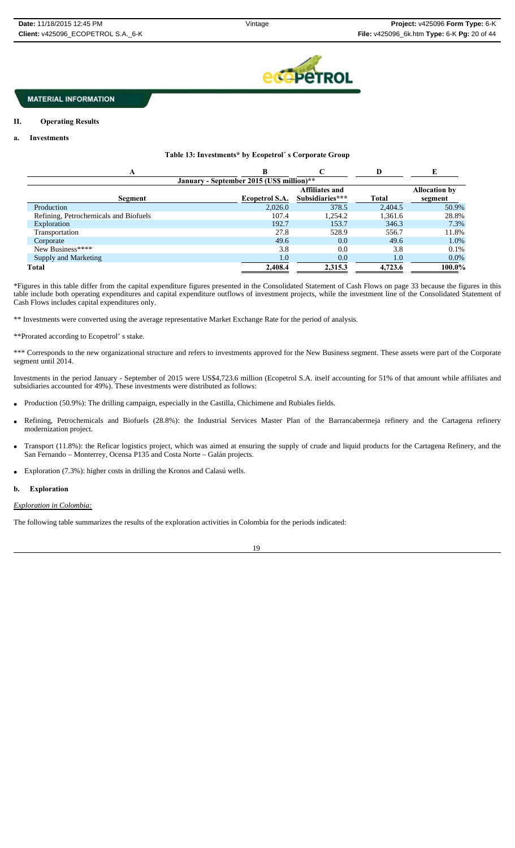

## **II. Operating Results**

### **a. Investments**

### **Table 13: Investments\* by Ecopetrol´ s Corporate Group**

| A                                     | в                                         |                                   | D       | E                               |
|---------------------------------------|-------------------------------------------|-----------------------------------|---------|---------------------------------|
|                                       | January - September 2015 (US\$ million)** |                                   |         |                                 |
| Segment                               | <b>Ecopetrol S.A.</b>                     | Affiliates and<br>Subsidiaries*** | Total   | <b>Allocation by</b><br>segment |
| Production                            | 2,026.0                                   | 378.5                             | 2,404.5 | 50.9%                           |
| Refining, Petrochemicals and Biofuels | 107.4                                     | 1,254.2                           | 1,361.6 | 28.8%                           |
| Exploration                           | 192.7                                     | 153.7                             | 346.3   | 7.3%                            |
| Transportation                        | 27.8                                      | 528.9                             | 556.7   | 11.8%                           |
| Corporate                             | 49.6                                      | 0.0                               | 49.6    | 1.0%                            |
| New Business****                      | 3.8                                       | 0.0                               | 3.8     | 0.1%                            |
| Supply and Marketing                  | 1.0                                       | 0.0                               | 1.0     | $0.0\%$                         |
| Total                                 | 2,408.4                                   | 2.315.3                           | 4,723.6 | 100.0%                          |

\*Figures in this table differ from the capital expenditure figures presented in the Consolidated Statement of Cash Flows on page 33 because the figures in this table include both operating expenditures and capital expenditure outflows of investment projects, while the investment line of the Consolidated Statement of Cash Flows includes capital expenditures only.

\*\* Investments were converted using the average representative Market Exchange Rate for the period of analysis.

\*\*Prorated according to Ecopetrol' s stake.

\*\*\* Corresponds to the new organizational structure and refers to investments approved for the New Business segment. These assets were part of the Corporate segment until 2014.

Investments in the period January - September of 2015 were US\$4,723.6 million (Ecopetrol S.A. itself accounting for 51% of that amount while affiliates and subsidiaries accounted for 49%). These investments were distributed as follows:

- Production (50.9%): The drilling campaign, especially in the Castilla, Chichimene and Rubiales fields.
- Refining, Petrochemicals and Biofuels (28.8%): the Industrial Services Master Plan of the Barrancabermeja refinery and the Cartagena refinery modernization project.
- Transport (11.8%): the Reficar logistics project, which was aimed at ensuring the supply of crude and liquid products for the Cartagena Refinery, and the San Fernando – Monterrey, Ocensa P135 and Costa Norte – Galán projects.
- Exploration (7.3%): higher costs in drilling the Kronos and Calasú wells.

#### **b. Exploration**

### *Exploration in Colombia:*

The following table summarizes the results of the exploration activities in Colombia for the periods indicated: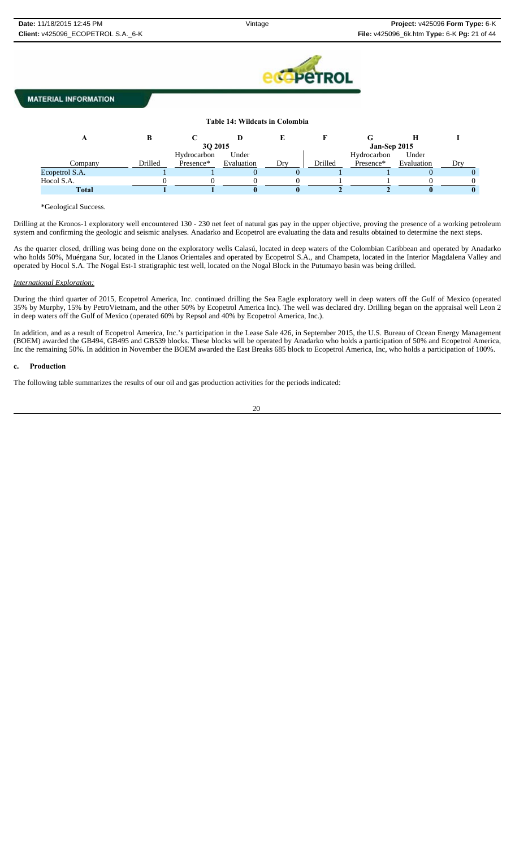

#### **Table 14: Wildcats in Colombia A B C D E F G H I 3Q 2015 Jan-Sep 2015** Company Drilled Hydrocarbon Presence\* Under Evaluation Dry Drilled Hydrocarbon Presence\* Under Evaluation Dry Ecopetrol S.A.  $\begin{array}{ccccccccccccc}\n1 & 1 & 0 & 0 & 1 & 1 & 0 & 0\n\end{array}$  $Hocol S.A.$  0 0 0 0 1 1 0 0 **Total 1 1 0 0 2 2 0 0**

\*Geological Success.

Drilling at the Kronos-1 exploratory well encountered 130 - 230 net feet of natural gas pay in the upper objective, proving the presence of a working petroleum system and confirming the geologic and seismic analyses. Anadarko and Ecopetrol are evaluating the data and results obtained to determine the next steps.

As the quarter closed, drilling was being done on the exploratory wells Calasú, located in deep waters of the Colombian Caribbean and operated by Anadarko who holds 50%, Muérgana Sur, located in the Llanos Orientales and operated by Ecopetrol S.A., and Champeta, located in the Interior Magdalena Valley and operated by Hocol S.A. The Nogal Est-1 stratigraphic test well, located on the Nogal Block in the Putumayo basin was being drilled.

#### *International Exploration:*

During the third quarter of 2015, Ecopetrol America, Inc. continued drilling the Sea Eagle exploratory well in deep waters off the Gulf of Mexico (operated 35% by Murphy, 15% by PetroVietnam, and the other 50% by Ecopetrol America Inc). The well was declared dry. Drilling began on the appraisal well Leon 2 in deep waters off the Gulf of Mexico (operated 60% by Repsol and 40% by Ecopetrol America, Inc.).

In addition, and as a result of Ecopetrol America, Inc.'s participation in the Lease Sale 426, in September 2015, the U.S. Bureau of Ocean Energy Management (BOEM) awarded the GB494, GB495 and GB539 blocks. These blocks will be operated by Anadarko who holds a participation of 50% and Ecopetrol America, Inc the remaining 50%. In addition in November the BOEM awarded the East Breaks 685 block to Ecopetrol America, Inc, who holds a participation of 100%.

#### **c. Production**

The following table summarizes the results of our oil and gas production activities for the periods indicated: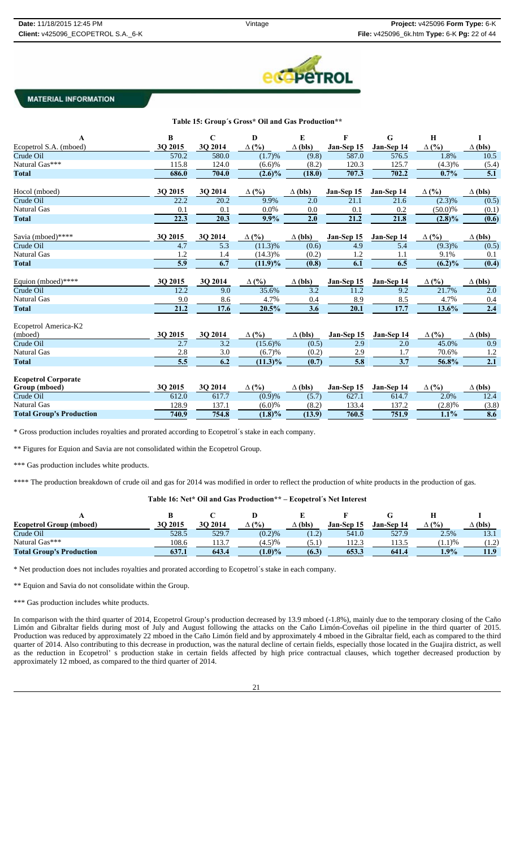

## **Table 15: Group´s Gross\* Oil and Gas Production\*\***

| A                               | B                 | $\mathbf C$      | D                  | E                | F                 | G                 | $\mathbf H$  | $\mathbf I$      |
|---------------------------------|-------------------|------------------|--------------------|------------------|-------------------|-------------------|--------------|------------------|
| Ecopetrol S.A. (mboed)          | 3Q 2015           | 3Q 2014          | $\Delta$ (%)       | $\Delta$ (bls)   | Jan-Sep 15        | Jan-Sep 14        | $\Delta$ (%) | $\Delta$ (bls)   |
| Crude Oil                       | 570.2             | 580.0            | (1.7)%             | (9.8)            | 587.0             | 576.5             | 1.8%         | 10.5             |
| Natural Gas***                  | 115.8             | 124.0            | (6.6)%             | (8.2)            | 120.3             | 125.7             | $(4.3)\%$    | (5.4)            |
| <b>Total</b>                    | 686.0             | 704.0            | $(2.6)\%$          | (18.0)           | 707.3             | 702.2             | 0.7%         | $\overline{5.1}$ |
| Hocol (mboed)                   | 3Q 2015           | 3Q 2014          | $\Delta$ (%)       | $\Delta$ (bls)   | Jan-Sep 15        | Jan-Sep 14        | $\Delta$ (%) | $\Delta$ (bls)   |
| Crude Oil                       | 22.2              | 20.2             | 9.9%               | 2.0              | 21.1              | 21.6              | $(2.3)\%$    | (0.5)            |
| <b>Natural Gas</b>              | 0.1               | 0.1              | $0.0\%$            | 0.0              | 0.1               | 0.2               | (50.0)%      | (0.1)            |
| <b>Total</b>                    | 22.3              | 20.3             | $\overline{9.9}$ % | $\overline{2.0}$ | $\overline{21.2}$ | 21.8              | $(2.8)\%$    | (0.6)            |
| Savia (mboed)****               | 3Q 2015           | 3Q 2014          | $\Delta$ (%)       | $\Delta$ (bls)   | Jan-Sep 15        | Jan-Sep 14        | $\Delta$ (%) | $\Delta$ (bls)   |
| Crude Oil                       | 4.7               | 5.3              | $(11.3)\%$         | (0.6)            | 4.9               | 5.4               | $(9.3)\%$    | (0.5)            |
| Natural Gas                     | 1.2               | 1.4              | $(14.3)\%$         | (0.2)            | 1.2               | 1.1               | 9.1%         | 0.1              |
| <b>Total</b>                    | $\overline{5.9}$  | $\overline{6.7}$ | $(11.9)\%$         | (0.8)            | 6.1               | 6.5               | $(6.2)\%$    | (0.4)            |
| Equion (mboed)****              | 3Q 2015           | 3Q 2014          | $\Delta$ (%)       | $\Delta$ (bls)   | Jan-Sep 15        | Jan-Sep 14        | $\Delta$ (%) | $\Delta$ (bls)   |
| Crude Oil                       | 12.2              | 9.0              | 35.6%              | 3.2              | 11.2              | 9.2               | 21.7%        | 2.0              |
| <b>Natural Gas</b>              | 9.0               | 8.6              | 4.7%               | 0.4              | 8.9               | 8.5               | 4.7%         | 0.4              |
| <b>Total</b>                    | $\overline{21.2}$ | 17.6             | 20.5%              | $\overline{3.6}$ | 20.1              | $\overline{17.7}$ | 13.6%        | $\overline{2.4}$ |
| Ecopetrol America-K2            |                   |                  |                    |                  |                   |                   |              |                  |
| (mboed)                         | 3Q 2015           | 3Q 2014          | $\Delta$ (%)       | $\Delta$ (bls)   | Jan-Sep 15        | Jan-Sep 14        | $\Delta$ (%) | $\Delta$ (bls)   |
| Crude Oil                       | 2.7               | 3.2              | $(15.6)\%$         | (0.5)            | 2.9               | 2.0               | 45.0%        | 0.9              |
| <b>Natural Gas</b>              | 2.8               | 3.0              | (6.7)%             | (0.2)            | 2.9               | 1.7               | 70.6%        | 1.2              |
| <b>Total</b>                    | $\overline{5.5}$  | $\overline{6.2}$ | $(11.3)\%$         | (0.7)            | $\overline{5.8}$  | $\overline{3.7}$  | 56.8%        | $\overline{2.1}$ |
| <b>Ecopetrol Corporate</b>      |                   |                  |                    |                  |                   |                   |              |                  |
| Group (mboed)                   | 3Q 2015           | 3Q 2014          | $\Delta$ (%)       | $\Delta$ (bls)   | Jan-Sep 15        | Jan-Sep 14        | $\Delta$ (%) | $\Delta$ (bls)   |
| Crude Oil                       | 612.0             | 617.7            | (0.9)%             | (5.7)            | 627.1             | 614.7             | 2.0%         | 12.4             |
| <b>Natural Gas</b>              | 128.9             | 137.1            | $(6.0)\%$          | (8.2)            | 133.4             | 137.2             | (2.8)%       | (3.8)            |
| <b>Total Group's Production</b> | 740.9             | 754.8            | $(1.8)\%$          | (13.9)           | 760.5             | 751.9             | 1.1%         | 8.6              |

\* Gross production includes royalties and prorated according to Ecopetrol´s stake in each company.

\*\* Figures for Equion and Savia are not consolidated within the Ecopetrol Group.

\*\*\* Gas production includes white products.

\*\*\*\* The production breakdown of crude oil and gas for 2014 was modified in order to reflect the production of white products in the production of gas.

### **Table 16: Net\* Oil and Gas Production\*\* – Ecopetrol´s Net Interest**

| <b>Ecopetrol Group (mboed)</b>  | 30 2015 | 30 2014 | $\Delta$ (%) | $\Delta$ (bls) | Jan-Sep 15 | Jan-Sep 14 | (%)     | (bls)                      |
|---------------------------------|---------|---------|--------------|----------------|------------|------------|---------|----------------------------|
| Crude Oil                       | 528.5   | 529.7   | (0.2)%       | (1.2)          | 541.0      | 527.9      | 2.5%    | 19.1                       |
| Natural Gas***                  | 108.6   | 13.7    | (4.5)%       | (5.1           | 12.3       | 113.5      | (1.1)%  | (1, 2)<br>$\overline{1}$ . |
| <b>Total Group's Production</b> | 637.1   | 643.4   | $(1.0)\%$    | (6.3)          | 653.3      | 641.4      | $1.9\%$ | 11.9                       |

\* Net production does not includes royalties and prorated according to Ecopetrol´s stake in each company.

\*\* Equion and Savia do not consolidate within the Group.

\*\*\* Gas production includes white products.

In comparison with the third quarter of 2014, Ecopetrol Group's production decreased by 13.9 mboed (-1.8%), mainly due to the temporary closing of the Caño Limón and Gibraltar fields during most of July and August following the attacks on the Caño Limón-Coveñas oil pipeline in the third quarter of 2015. Production was reduced by approximately 22 mboed in the Caño Limón field and by approximately 4 mboed in the Gibraltar field, each as compared to the third quarter of 2014. Also contributing to this decrease in production, was the natural decline of certain fields, especially those located in the Guajira district, as well as the reduction in Ecopetrol' s production stake in certain fields affected by high price contractual clauses, which together decreased production by approximately 12 mboed, as compared to the third quarter of 2014.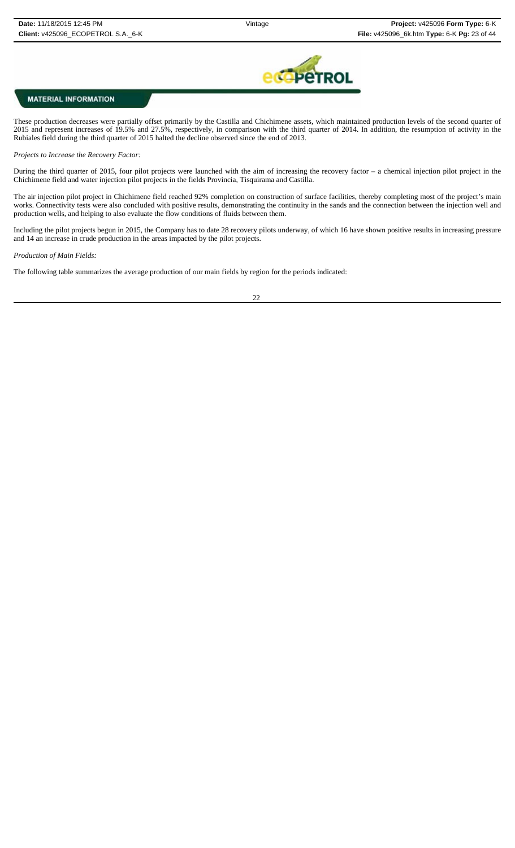

These production decreases were partially offset primarily by the Castilla and Chichimene assets, which maintained production levels of the second quarter of 2015 and represent increases of 19.5% and 27.5%, respectively, in comparison with the third quarter of 2014. In addition, the resumption of activity in the Rubiales field during the third quarter of 2015 halted the decline observed since the end of 2013.

*Projects to Increase the Recovery Factor:*

During the third quarter of 2015, four pilot projects were launched with the aim of increasing the recovery factor – a chemical injection pilot project in the Chichimene field and water injection pilot projects in the fields Provincia, Tisquirama and Castilla.

The air injection pilot project in Chichimene field reached 92% completion on construction of surface facilities, thereby completing most of the project's main works. Connectivity tests were also concluded with positive results, demonstrating the continuity in the sands and the connection between the injection well and production wells, and helping to also evaluate the flow conditions of fluids between them.

Including the pilot projects begun in 2015, the Company has to date 28 recovery pilots underway, of which 16 have shown positive results in increasing pressure and 14 an increase in crude production in the areas impacted by the pilot projects.

#### *Production of Main Fields:*

The following table summarizes the average production of our main fields by region for the periods indicated: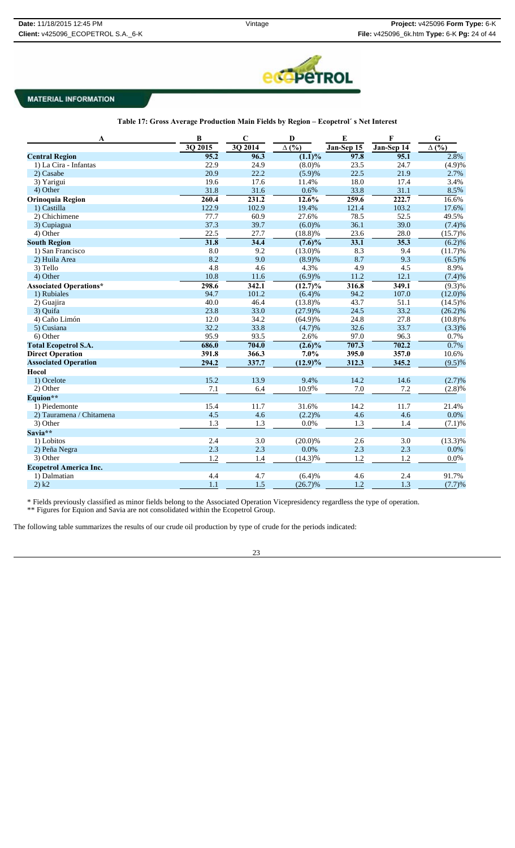

## **Table 17: Gross Average Production Main Fields by Region – Ecopetrol´ s Net Interest**

| $\mathbf{A}$                  | $\bf{B}$ | $\mathbf C$ | $\mathbf D$           | E          | $\mathbf F$ | ${\bf G}$          |
|-------------------------------|----------|-------------|-----------------------|------------|-------------|--------------------|
|                               | 3Q 2015  | 3Q 2014     | $\Delta($ %)          | Jan-Sep 15 | Jan-Sep 14  | $\Delta$ (%)       |
| <b>Central Region</b>         | 95.2     | 96.3        | $(1.1)\%$             | 97.8       | 95.1        | 2.8%               |
| 1) La Cira - Infantas         | 22.9     | 24.9        | (8.0)%                | 23.5       | 24.7        | (4.9)%             |
| 2) Casabe                     | 20.9     | 22.2        | (5.9)%                | 22.5       | 21.9        | 2.7%               |
| 3) Yarigui                    | 19.6     | 17.6        | 11.4%                 | 18.0       | 17.4        | 3.4%               |
| 4) Other                      | 31.8     | 31.6        | 0.6%                  | 33.8       | 31.1        | 8.5%               |
| <b>Orinoquia Region</b>       | 260.4    | 231.2       | 12.6%                 | 259.6      | 222.7       | 16.6%              |
| 1) Castilla                   | 122.9    | 102.9       | 19.4%                 | 121.4      | 103.2       | 17.6%              |
| 2) Chichimene                 | 77.7     | 60.9        | 27.6%                 | 78.5       | 52.5        | 49.5%              |
| 3) Cupiagua                   | 37.3     | 39.7        | (6.0)%                | 36.1       | 39.0        | (7.4)%             |
| 4) Other                      | 22.5     | 27.7        | (18.8)%               | 23.6       | 28.0        | (15.7)%            |
| <b>South Region</b>           | 31.8     | 34.4        | $(7.6)\%$             | 33.1       | 35.3        | (6.2)%             |
| 1) San Francisco              | 8.0      | 9.2         | $(13.0)\%$            | 8.3        | 9.4         | (11.7)%            |
| 2) Huila Area                 | 8.2      | 9.0         | (8.9)%                | 8.7        | 9.3         | (6.5)%             |
| 3) Tello                      | 4.8      | 4.6         | 4.3%                  | 4.9        | 4.5         | 8.9%               |
| 4) Other                      | 10.8     | 11.6        | (6.9)%                | 11.2       | 12.1        | (7.4)%             |
| <b>Associated Operations*</b> | 298.6    | 342.1       | $\overline{(12.7)}\%$ | 316.8      | 349.1       | (9.3)%             |
| 1) Rubiales                   | 94.7     | 101.2       | (6.4)%                | 94.2       | 107.0       | $(12.0)\%$         |
| 2) Guajira                    | 40.0     | 46.4        | $(13.8)\%$            | 43.7       | 51.1        | $(14.5)\%$         |
| 3) Quifa                      | 23.8     | 33.0        | (27.9)%               | 24.5       | 33.2        | $(26.2)\%$         |
| 4) Caño Limón                 | 12.0     | 34.2        | $(64.9)\%$            | 24.8       | 27.8        | $(10.8)\%$         |
| 5) Cusiana                    | 32.2     | 33.8        | (4.7)%                | 32.6       | 33.7        | (3.3)%             |
| 6) Other                      | 95.9     | 93.5        | 2.6%                  | 97.0       | 96.3        | 0.7%               |
| <b>Total Ecopetrol S.A.</b>   | 686.0    | 704.0       | $\overline{(2.6)}\%$  | 707.3      | 702.2       | $\overline{0.7}\%$ |
| <b>Direct Operation</b>       | 391.8    | 366.3       | 7.0%                  | 395.0      | 357.0       | 10.6%              |
| <b>Associated Operation</b>   | 294.2    | 337.7       | $(12.9)\%$            | 312.3      | 345.2       | $(9.5)\%$          |
| Hocol                         |          |             |                       |            |             |                    |
| 1) Ocelote                    | 15.2     | 13.9        | 9.4%                  | 14.2       | 14.6        | (2.7)%             |
| 2) Other                      | 7.1      | 6.4         | 10.9%                 | 7.0        | 7.2         | (2.8)%             |
| Equion**                      |          |             |                       |            |             |                    |
| 1) Piedemonte                 | 15.4     | 11.7        | 31.6%                 | 14.2       | 11.7        | 21.4%              |
| 2) Tauramena / Chitamena      | 4.5      | 4.6         | (2.2)%                | 4.6        | 4.6         | $0.0\%$            |
| 3) Other                      | 1.3      | 1.3         | 0.0%                  | 1.3        | 1.4         | (7.1)%             |
| Savia**                       |          |             |                       |            |             |                    |
| 1) Lobitos                    | 2.4      | 3.0         | $(20.0)\%$            | 2.6        | 3.0         | $(13.3)\%$         |
| 2) Peña Negra                 | 2.3      | 2.3         | 0.0%                  | 2.3        | 2.3         | $0.0\%$            |
| 3) Other                      | 1.2      | 1.4         | $(14.3)\%$            | 1.2        | 1.2         | 0.0%               |
| <b>Ecopetrol America Inc.</b> |          |             |                       |            |             |                    |
| 1) Dalmatian                  | 4.4      | 4.7         | (6.4)%                | 4.6        | 2.4         | 91.7%              |
| 2) k2                         | 1.1      | 1.5         | $(26.7)\%$            | 1.2        | 1.3         | (7.7)%             |

\* Fields previously classified as minor fields belong to the Associated Operation Vicepresidency regardless the type of operation. \*\* Figures for Equion and Savia are not consolidated within the Ecopetrol Group.

The following table summarizes the results of our crude oil production by type of crude for the periods indicated:

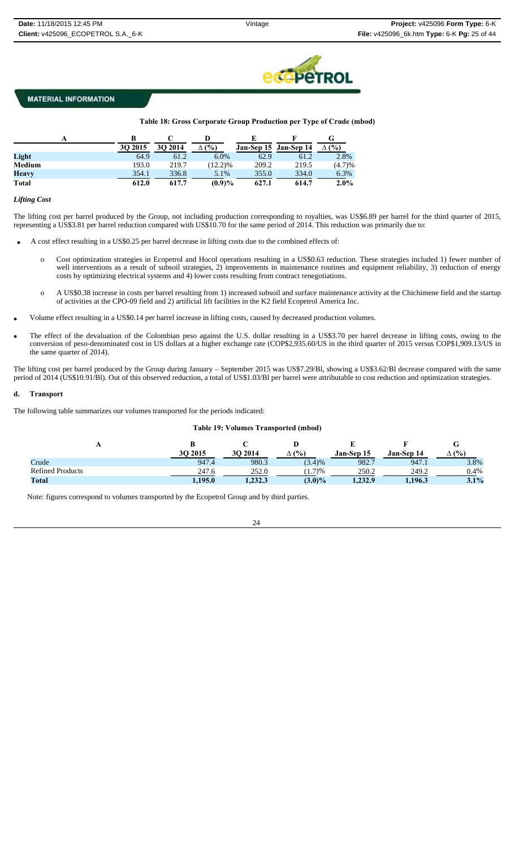

### **Table 18: Gross Corporate Group Production per Type of Crude (mbod)**

|              |         |         |            |                       |       | G            |
|--------------|---------|---------|------------|-----------------------|-------|--------------|
|              | 30 2015 | 30 2014 | ∆ (%)      | Jan-Sep 15 Jan-Sep 14 |       | $\Delta$ (%) |
| Light        | 64.9    | 61.2    | $6.0\%$    | 62.9                  | 61.2  | 2.8%         |
| Medium       | 193.0   | 219.7   | $(12.2)\%$ | 209.2                 | 219.5 | (4.7)%       |
| <b>Heavy</b> | 354.1   | 336.8   | 5.1%       | 355.0                 | 334.0 | 6.3%         |
| <b>Total</b> | 612.0   | 617.7   | $(0.9)\%$  | 627.1                 | 614.7 | $2.0\%$      |

#### *Lifting Cost*

The lifting cost per barrel produced by the Group, not including production corresponding to royalties, was US\$6.89 per barrel for the third quarter of 2015, representing a US\$3.81 per barrel reduction compared with US\$10.70 for the same period of 2014. This reduction was primarily due to:

- A cost effect resulting in a US\$0.25 per barrel decrease in lifting costs due to the combined effects of:
	- o Cost optimization strategies in Ecopetrol and Hocol operations resulting in a US\$0.63 reduction. These strategies included 1) fewer number of well interventions as a result of subsoil strategies, 2) improvements in maintenance routines and equipment reliability, 3) reduction of energy costs by optimizing electrical systems and 4) lower costs resulting from contract renegotiations.
	- o A US\$0.38 increase in costs per barrel resulting from 1) increased subsoil and surface maintenance activity at the Chichimene field and the startup of activities at the CPO-09 field and 2) artificial lift facilities in the K2 field Ecopetrol America Inc.
- Volume effect resulting in a US\$0.14 per barrel increase in lifting costs, caused by decreased production volumes.
- The effect of the devaluation of the Colombian peso against the U.S. dollar resulting in a US\$3.70 per barrel decrease in lifting costs, owing to the conversion of peso-denominated cost in US dollars at a higher exchange rate (COP\$2,935.60/US in the third quarter of 2015 versus COP\$1,909.13/US in the same quarter of 2014).

The lifting cost per barrel produced by the Group during January – September 2015 was US\$7.29/Bl, showing a US\$3.62/Bl decrease compared with the same period of 2014 (US\$10.91/Bl). Out of this observed reduction, a total of US\$1.03/Bl per barrel were attributable to cost reduction and optimization strategies.

#### **d. Transport**

The following table summarizes our volumes transported for the periods indicated:

#### **Table 19: Volumes Transported (mbod)**

| . .                     | 30 2015 | 3O 2014 | (%)       | Jan-Sep 15 | Jan-Sep 14 | v<br>$\Delta$ (%) |
|-------------------------|---------|---------|-----------|------------|------------|-------------------|
| Crude                   | 947.4   | 980.3   | (3.4)%    | 982.7      | 947.1      | 3.8%              |
| <b>Refined Products</b> | 247.6   | 252.0   | (1.7)%    | 250.2      | 249.2      | 0.4%              |
| Total                   | 1,195.0 | 1.232.3 | $(3.0)\%$ | .,232.9    | 1.196.3    | 3.1%              |

Note: figures correspond to volumes transported by the Ecopetrol Group and by third parties.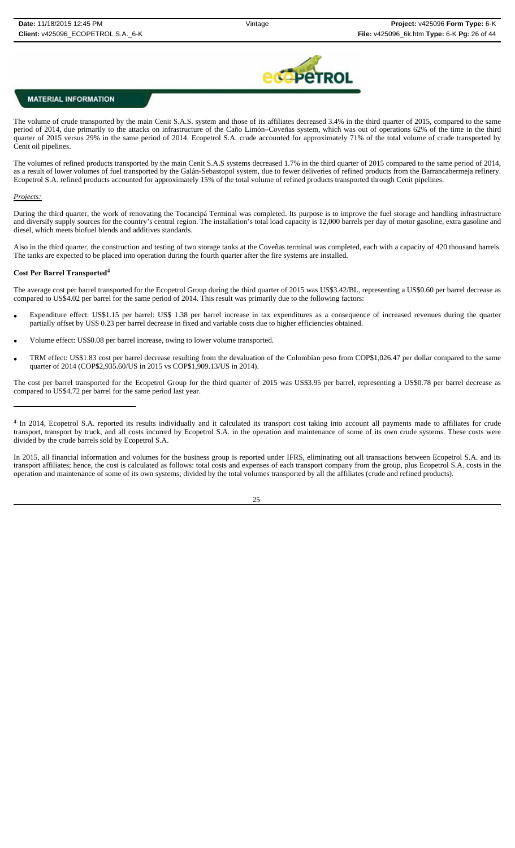

The volume of crude transported by the main Cenit S.A.S. system and those of its affiliates decreased 3.4% in the third quarter of 2015, compared to the same period of 2014, due primarily to the attacks on infrastructure of the Caño Limón–Coveñas system, which was out of operations 62% of the time in the third quarter of 2015 versus 29% in the same period of 2014. Ecopetrol S.A. crude accounted for approximately 71% of the total volume of crude transported by Cenit oil pipelines.

The volumes of refined products transported by the main Cenit S.A.S systems decreased 1.7% in the third quarter of 2015 compared to the same period of 2014, as a result of lower volumes of fuel transported by the Galán-Sebastopol system, due to fewer deliveries of refined products from the Barrancabermeja refinery. Ecopetrol S.A. refined products accounted for approximately 15% of the total volume of refined products transported through Cenit pipelines.

#### *Projects:*

During the third quarter, the work of renovating the Tocancipá Terminal was completed. Its purpose is to improve the fuel storage and handling infrastructure and diversify supply sources for the country's central region. The installation's total load capacity is 12,000 barrels per day of motor gasoline, extra gasoline and diesel, which meets biofuel blends and additives standards.

Also in the third quarter, the construction and testing of two storage tanks at the Coveñas terminal was completed, each with a capacity of 420 thousand barrels. The tanks are expected to be placed into operation during the fourth quarter after the fire systems are installed.

#### **Cost Per Barrel Transported4**

The average cost per barrel transported for the Ecopetrol Group during the third quarter of 2015 was US\$3.42/BL, representing a US\$0.60 per barrel decrease as compared to US\$4.02 per barrel for the same period of 2014. This result was primarily due to the following factors:

- Expenditure effect: US\$1.15 per barrel: US\$ 1.38 per barrel increase in tax expenditures as a consequence of increased revenues during the quarter partially offset by US\$ 0.23 per barrel decrease in fixed and variable costs due to higher efficiencies obtained.
- Volume effect: US\$0.08 per barrel increase, owing to lower volume transported.
- TRM effect: US\$1.83 cost per barrel decrease resulting from the devaluation of the Colombian peso from COP\$1,026.47 per dollar compared to the same quarter of 2014 (COP\$2,935.60/US in 2015 vs COP\$1,909.13/US in 2014).

The cost per barrel transported for the Ecopetrol Group for the third quarter of 2015 was US\$3.95 per barrel, representing a US\$0.78 per barrel decrease as compared to US\$4.72 per barrel for the same period last year.

In 2015, all financial information and volumes for the business group is reported under IFRS, eliminating out all transactions between Ecopetrol S.A. and its transport affiliates; hence, the cost is calculated as follows: total costs and expenses of each transport company from the group, plus Ecopetrol S.A. costs in the operation and maintenance of some of its own systems; divided by the total volumes transported by all the affiliates (crude and refined products).

<sup>&</sup>lt;sup>4</sup> In 2014, Ecopetrol S.A. reported its results individually and it calculated its transport cost taking into account all payments made to affiliates for crude transport, transport by truck, and all costs incurred by Ecopetrol S.A. in the operation and maintenance of some of its own crude systems. These costs were divided by the crude barrels sold by Ecopetrol S.A.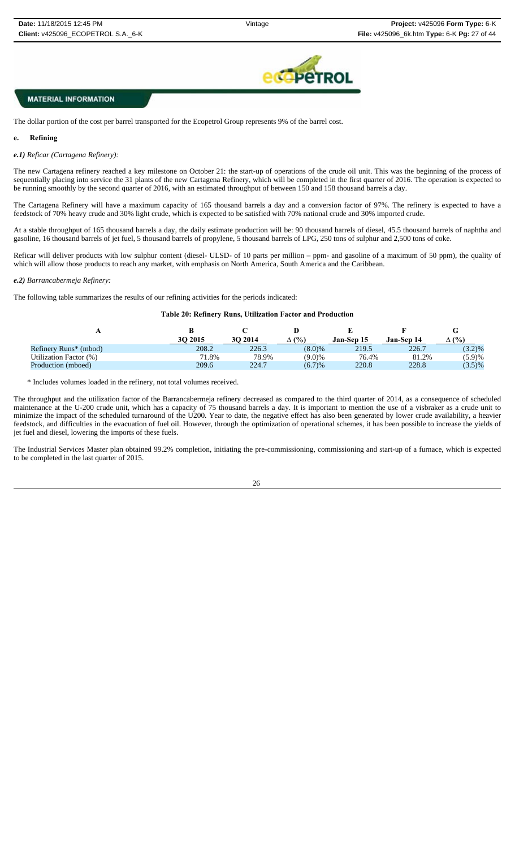

The dollar portion of the cost per barrel transported for the Ecopetrol Group represents 9% of the barrel cost.

### **e. Refining**

### *e.1) Reficar (Cartagena Refinery):*

The new Cartagena refinery reached a key milestone on October 21: the start-up of operations of the crude oil unit. This was the beginning of the process of sequentially placing into service the 31 plants of the new Cartagena Refinery, which will be completed in the first quarter of 2016. The operation is expected to be running smoothly by the second quarter of 2016, with an estimated throughput of between 150 and 158 thousand barrels a day.

The Cartagena Refinery will have a maximum capacity of 165 thousand barrels a day and a conversion factor of 97%. The refinery is expected to have a feedstock of 70% heavy crude and 30% light crude, which is expected to be satisfied with 70% national crude and 30% imported crude.

At a stable throughput of 165 thousand barrels a day, the daily estimate production will be: 90 thousand barrels of diesel, 45.5 thousand barrels of naphtha and gasoline, 16 thousand barrels of jet fuel, 5 thousand barrels of propylene, 5 thousand barrels of LPG, 250 tons of sulphur and 2,500 tons of coke.

Reficar will deliver products with low sulphur content (diesel- ULSD- of 10 parts per million – ppm- and gasoline of a maximum of 50 ppm), the quality of which will allow those products to reach any market, with emphasis on North America, South America and the Caribbean.

#### *e.2) Barrancabermeja Refinery:*

The following table summarizes the results of our refining activities for the periods indicated:

#### **Table 20: Refinery Runs, Utilization Factor and Production**

|                                   | 30 2015 | 30 2014 | (%)<br>$\Delta$ ' | <b>Jan-Sep 15</b> | Jan-Sep 14 | U<br>(%)  |
|-----------------------------------|---------|---------|-------------------|-------------------|------------|-----------|
| Refinery Runs <sup>*</sup> (mbod) | 208.2   | 226.3   | $(8.0)\%$         | 219.5             | 226.7      | $(3.2)\%$ |
| Utilization Factor (%)            | 71.8%   | 78.9%   | $(9.0)\%$         | 76.4%             | 81.2%      | (5.9)%    |
| Production (mboed)                | 209.6   | 224.7   | (6.7)%            | 220.8             | 228.8      | $(3.5)\%$ |

\* Includes volumes loaded in the refinery, not total volumes received.

The throughput and the utilization factor of the Barrancabermeja refinery decreased as compared to the third quarter of 2014, as a consequence of scheduled maintenance at the U-200 crude unit, which has a capacity of 75 thousand barrels a day. It is important to mention the use of a visbraker as a crude unit to minimize the impact of the scheduled turnaround of the U200. Year to date, the negative effect has also been generated by lower crude availability, a heavier feedstock, and difficulties in the evacuation of fuel oil. However, through the optimization of operational schemes, it has been possible to increase the yields of jet fuel and diesel, lowering the imports of these fuels.

The Industrial Services Master plan obtained 99.2% completion, initiating the pre-commissioning, commissioning and start-up of a furnace, which is expected to be completed in the last quarter of 2015.

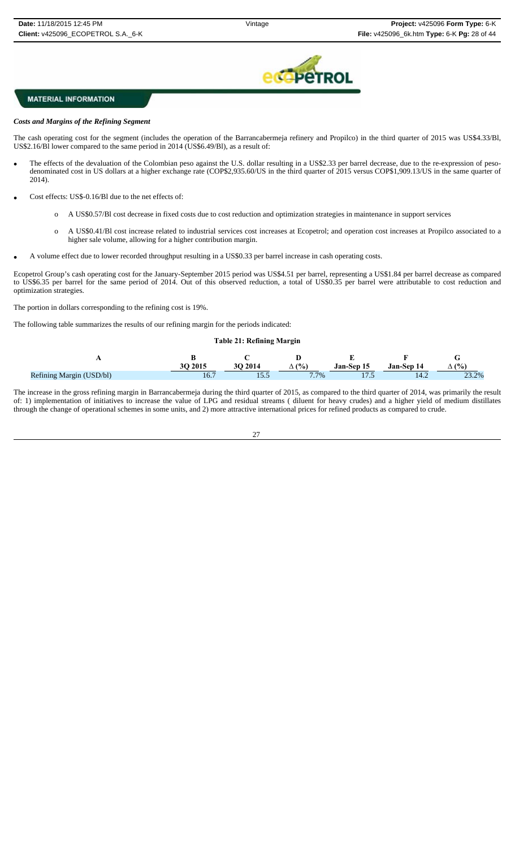

## *Costs and Margins of the Refining Segment*

The cash operating cost for the segment (includes the operation of the Barrancabermeja refinery and Propilco) in the third quarter of 2015 was US\$4.33/Bl, US\$2.16/Bl lower compared to the same period in 2014 (US\$6.49/Bl), as a result of:

- The effects of the devaluation of the Colombian peso against the U.S. dollar resulting in a US\$2.33 per barrel decrease, due to the re-expression of pesodenominated cost in US dollars at a higher exchange rate (COP\$2,935.60/US in the third quarter of 2015 versus COP\$1,909.13/US in the same quarter of 2014).
- Cost effects: US\$-0.16/Bl due to the net effects of:
	- A US\$0.57/Bl cost decrease in fixed costs due to cost reduction and optimization strategies in maintenance in support services
	- o A US\$0.41/Bl cost increase related to industrial services cost increases at Ecopetrol; and operation cost increases at Propilco associated to a higher sale volume, allowing for a higher contribution margin.
- A volume effect due to lower recorded throughput resulting in a US\$0.33 per barrel increase in cash operating costs.

Ecopetrol Group's cash operating cost for the January-September 2015 period was US\$4.51 per barrel, representing a US\$1.84 per barrel decrease as compared to US\$6.35 per barrel for the same period of 2014. Out of this observed reduction, a total of US\$0.35 per barrel were attributable to cost reduction and optimization strategies.

The portion in dollars corresponding to the refining cost is 19%.

The following table summarizes the results of our refining margin for the periods indicated:

#### **Table 21: Refining Margin**

|                                                                    | <b>3O 2015</b> | 2014<br>4V 17 | $\frac{(0)}{0}$<br>▵ | Jan-Sep 15 | Jan-Sep<br>14 | (%    |
|--------------------------------------------------------------------|----------------|---------------|----------------------|------------|---------------|-------|
| Refining Margin (USD/bl)<br>$\epsilon$<br>$\overline{\phantom{0}}$ | 10.,           | 10.J          | $7.7\%$              | .          | 17.Z          | 23.2% |

The increase in the gross refining margin in Barrancabermeja during the third quarter of 2015, as compared to the third quarter of 2014, was primarily the result of: 1) implementation of initiatives to increase the value of LPG and residual streams ( diluent for heavy crudes) and a higher yield of medium distillates through the change of operational schemes in some units, and 2) more attractive international prices for refined products as compared to crude.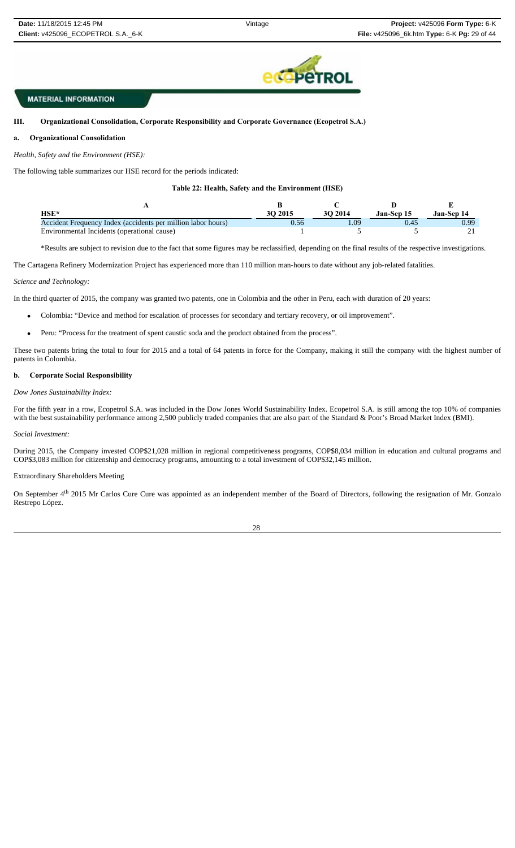

**III. Organizational Consolidation, Corporate Responsibility and Corporate Governance (Ecopetrol S.A.)**

**a. Organizational Consolidation**

*Health, Safety and the Environment (HSE):*

The following table summarizes our HSE record for the periods indicated:

### **Table 22: Health, Safety and the Environment (HSE)**

| HSE*                                                         | 30 2015 | <b>3O 2014</b> | Jan-Sep 15 | <b>Jan-Sep 14</b> |
|--------------------------------------------------------------|---------|----------------|------------|-------------------|
| Accident Frequency Index (accidents per million labor hours) | 0.56    | 0.09           | 0.4        | 0.99              |
| Environmental Incidents (operational cause)                  |         |                |            |                   |

\*Results are subject to revision due to the fact that some figures may be reclassified, depending on the final results of the respective investigations.

The Cartagena Refinery Modernization Project has experienced more than 110 million man-hours to date without any job-related fatalities.

#### *Science and Technology:*

In the third quarter of 2015, the company was granted two patents, one in Colombia and the other in Peru, each with duration of 20 years:

- Colombia: "Device and method for escalation of processes for secondary and tertiary recovery, or oil improvement".
- Peru: "Process for the treatment of spent caustic soda and the product obtained from the process".

These two patents bring the total to four for 2015 and a total of 64 patents in force for the Company, making it still the company with the highest number of patents in Colombia.

### **b. Corporate Social Responsibility**

### *Dow Jones Sustainability Index:*

For the fifth year in a row, Ecopetrol S.A. was included in the Dow Jones World Sustainability Index. Ecopetrol S.A. is still among the top 10% of companies with the best sustainability performance among 2,500 publicly traded companies that are also part of the Standard & Poor's Broad Market Index (BMI).

#### *Social Investment:*

During 2015, the Company invested COP\$21,028 million in regional competitiveness programs, COP\$8,034 million in education and cultural programs and COP\$3,083 million for citizenship and democracy programs, amounting to a total investment of COP\$32,145 million.

#### Extraordinary Shareholders Meeting

On September 4<sup>th</sup> 2015 Mr Carlos Cure Cure was appointed as an independent member of the Board of Directors, following the resignation of Mr. Gonzalo Restrepo López.

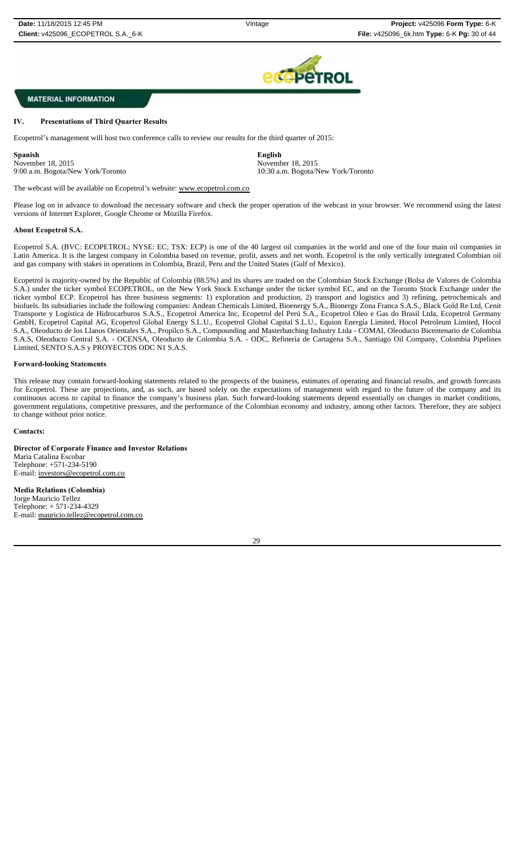

### **IV. Presentations of Third Quarter Results**

Ecopetrol's management will host two conference calls to review our results for the third quarter of 2015:

**Spanish English**  November 18, 2015 November 18, 2015 9:00 a.m. Bogota/New York/Toronto 10:30 a.m. Bogota/New York/Toronto

The webcast will be available on Ecopetrol's website: www.ecopetrol.com.co

Please log on in advance to download the necessary software and check the proper operation of the webcast in your browser. We recommend using the latest versions of Internet Explorer, Google Chrome or Mozilla Firefox.

#### **About Ecopetrol S.A.**

Ecopetrol S.A. (BVC: ECOPETROL; NYSE: EC; TSX: ECP) is one of the 40 largest oil companies in the world and one of the four main oil companies in Latin America. It is the largest company in Colombia based on revenue, profit, assets and net worth. Ecopetrol is the only vertically integrated Colombian oil and gas company with stakes in operations in Colombia, Brazil, Peru and the United States (Gulf of Mexico).

Ecopetrol is majority-owned by the Republic of Colombia (88.5%) and its shares are traded on the Colombian Stock Exchange (Bolsa de Valores de Colombia S.A.) under the ticker symbol ECOPETROL, on the New York Stock Exchange under the ticker symbol EC, and on the Toronto Stock Exchange under the ticker symbol ECP. Ecopetrol has three business segments: 1) exploration and production, 2) transport and logistics and 3) refining, petrochemicals and biofuels. Its subsidiaries include the following companies: Andean Chemicals Limited, Bioenergy S.A., Bionergy Zona Franca S.A.S., Black Gold Re Ltd, Cenit Transporte y Logística de Hidrocarburos S.A.S., Ecopetrol America Inc, Ecopetrol del Perú S.A., Ecopetrol Oleo e Gas do Brasil Ltda, Ecopetrol Germany GmbH, Ecopetrol Capital AG, Ecopetrol Global Energy S.L.U., Ecopetrol Global Capital S.L.U., Equion Energía Limited, Hocol Petroleum Limited, Hocol S.A., Oleoducto de los Llanos Orientales S.A., Propilco S.A., Compounding and Masterbatching Industry Ltda - COMAI, Oleoducto Bicentenario de Colombia S.A.S, Oleoducto Central S.A. - OCENSA, Oleoducto de Colombia S.A. - ODC, Refinería de Cartagena S.A., Santiago Oil Company, Colombia Pipelines Limited, SENTO S.A.S y PROYECTOS ODC N1 S.A.S.

### **Forward-looking Statements**

This release may contain forward-looking statements related to the prospects of the business, estimates of operating and financial results, and growth forecasts for Ecopetrol. These are projections, and, as such, are based solely on the expectations of management with regard to the future of the company and its continuous access to capital to finance the company's business plan. Such forward-looking statements depend essentially on changes in market conditions, government regulations, competitive pressures, and the performance of the Colombian economy and industry, among other factors. Therefore, they are subject to change without prior notice.

#### **Contacts:**

**Director of Corporate Finance and Investor Relations** Maria Catalina Escobar Telephone: +571-234-5190 E-mail: investors@ecopetrol.com.co

**Media Relations (Colombia)**  Jorge Mauricio Tellez Telephone: + 571-234-4329 E-mail: mauricio.tellez@ecopetrol.com.co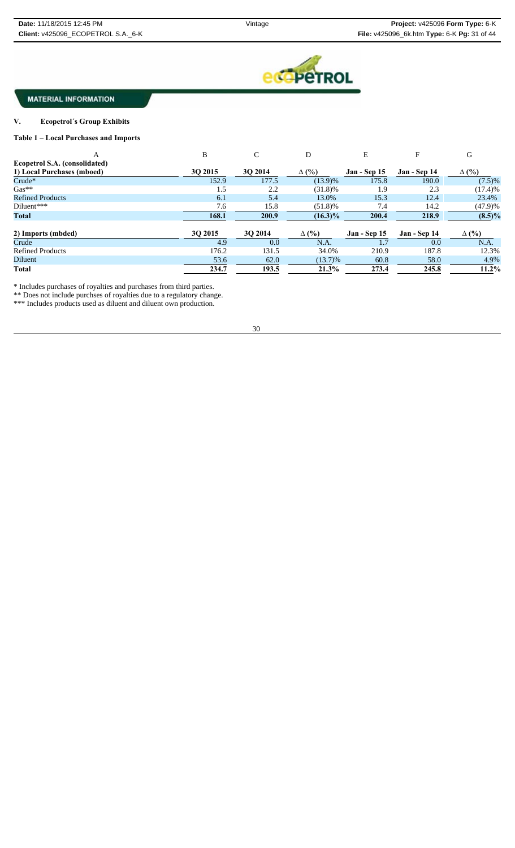

# **V. Ecopetrol´s Group Exhibits**

**Table 1 – Local Purchases and Imports**

| Α                             | B       | C       | D            | E                   | F            | G            |
|-------------------------------|---------|---------|--------------|---------------------|--------------|--------------|
| Ecopetrol S.A. (consolidated) |         |         |              |                     |              |              |
| 1) Local Purchases (mboed)    | 30 2015 | 30 2014 | $\Delta$ (%) | <b>Jan - Sep 15</b> | Jan - Sep 14 | $\Delta$ (%) |
| Crude*                        | 152.9   | 177.5   | $(13.9)\%$   | 175.8               | 190.0        | $(7.5)\%$    |
| $Gas**$                       | 1.5     | 2.2     | $(31.8)\%$   | 1.9                 | 2.3          | (17.4)%      |
| <b>Refined Products</b>       | 6.1     | 5.4     | 13.0%        | 15.3                | 12.4         | 23.4%        |
| Diluent***                    | 7.6     | 15.8    | $(51.8)\%$   | 7.4                 | 14.2         | (47.9)%      |
| <b>Total</b>                  | 168.1   | 200.9   | $(16.3)\%$   | 200.4               | 218.9        | $(8.5)\%$    |
| 2) Imports (mbded)            | 30 2015 | 3O 2014 | $\Delta$ (%) | <b>Jan - Sep 15</b> | Jan - Sep 14 | $\Delta$ (%) |
| Crude                         | 4.9     | 0.0     | N.A.         |                     | 0.0          | N.A.         |
| <b>Refined Products</b>       | 176.2   | 131.5   | 34.0%        | 210.9               | 187.8        | 12.3%        |
| Diluent                       | 53.6    | 62.0    | $(13.7)\%$   | 60.8                | 58.0         | 4.9%         |
| Total                         | 234.7   | 193.5   | 21.3%        | 273.4               | 245.8        | 11.2%        |

\* Includes purchases of royalties and purchases from third parties.

\*\* Does not include purchses of royalties due to a regulatory change.

\*\*\* Includes products used as diluent and diluent own production.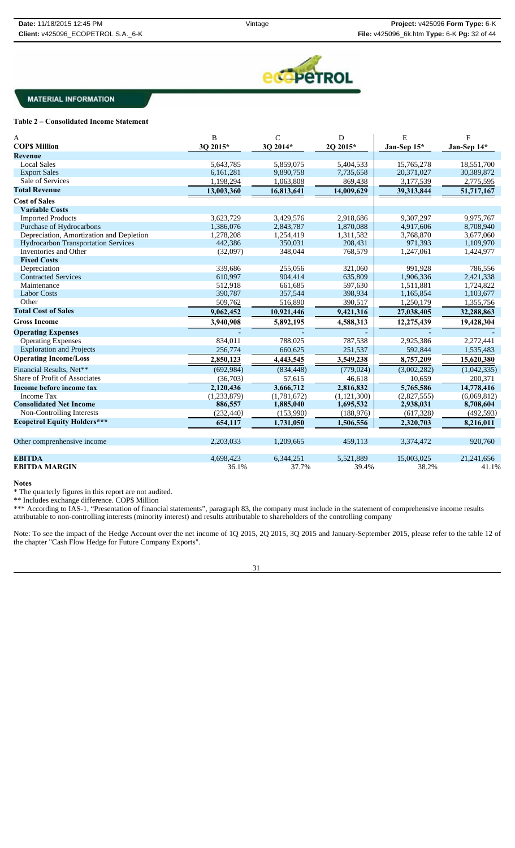

## **Table 2 – Consolidated Income Statement**

| A                                          | B           | $\mathsf{C}$ | D             | E           | F           |
|--------------------------------------------|-------------|--------------|---------------|-------------|-------------|
| <b>COPS Million</b>                        | 3Q 2015*    | 3Q 2014*     | 2Q 2015*      | Jan-Sep 15* | Jan-Sep 14* |
| <b>Revenue</b>                             |             |              |               |             |             |
| <b>Local Sales</b>                         | 5.643.785   | 5,859,075    | 5,404,533     | 15,765,278  | 18,551,700  |
| <b>Export Sales</b>                        | 6,161,281   | 9,890,758    | 7,735,658     | 20,371,027  | 30,389,872  |
| Sale of Services                           | 1,198,294   | 1,063,808    | 869,438       | 3,177,539   | 2,775,595   |
| <b>Total Revenue</b>                       | 13,003,360  | 16,813,641   | 14,009,629    | 39,313,844  | 51,717,167  |
| <b>Cost of Sales</b>                       |             |              |               |             |             |
| <b>Variable Costs</b>                      |             |              |               |             |             |
| <b>Imported Products</b>                   | 3.623.729   | 3,429,576    | 2,918,686     | 9,307,297   | 9,975,767   |
| Purchase of Hydrocarbons                   | 1,386,076   | 2,843,787    | 1,870,088     | 4,917,606   | 8,708,940   |
| Depreciation, Amortization and Depletion   | 1,278,208   | 1,254,419    | 1,311,582     | 3,768,870   | 3,677,060   |
| <b>Hydrocarbon Transportation Services</b> | 442,386     | 350,031      | 208,431       | 971,393     | 1,109,970   |
| Inventories and Other                      | (32,097)    | 348,044      | 768,579       | 1,247,061   | 1,424,977   |
| <b>Fixed Costs</b>                         |             |              |               |             |             |
| Depreciation                               | 339,686     | 255,056      | 321,060       | 991,928     | 786,556     |
| <b>Contracted Services</b>                 | 610,997     | 904,414      | 635,809       | 1,906,336   | 2,421,338   |
| Maintenance                                | 512,918     | 661,685      | 597,630       | 1,511,881   | 1,724,822   |
| <b>Labor Costs</b>                         | 390,787     | 357,544      | 398,934       | 1,165,854   | 1,103,677   |
| Other                                      | 509,762     | 516,890      | 390,517       | 1,250,179   | 1,355,756   |
| <b>Total Cost of Sales</b>                 | 9,062,452   | 10,921,446   | 9,421,316     | 27,038,405  | 32,288,863  |
| <b>Gross Income</b>                        | 3,940,908   | 5,892,195    | 4,588,313     | 12,275,439  | 19,428,304  |
| <b>Operating Expenses</b>                  |             |              |               |             |             |
| <b>Operating Expenses</b>                  | 834.011     | 788,025      | 787,538       | 2,925,386   | 2,272,441   |
| <b>Exploration and Projects</b>            | 256,774     | 660,625      | 251,537       | 592,844     | 1,535,483   |
| <b>Operating Income/Loss</b>               | 2,850,123   | 4,443,545    | 3,549,238     | 8,757,209   | 15,620,380  |
| Financial Results, Net**                   | (692, 984)  | (834, 448)   | (779, 024)    | (3,002,282) | (1,042,335) |
| Share of Profit of Associates              | (36,703)    | 57,615       | 46,618        | 10,659      | 200,371     |
| Income before income tax                   | 2,120,436   | 3,666,712    | 2,816,832     | 5,765,586   | 14,778,416  |
| <b>Income Tax</b>                          | (1,233,879) | (1,781,672)  | (1, 121, 300) | (2,827,555) | (6,069,812) |
| <b>Consolidated Net Income</b>             | 886,557     | 1,885,040    | 1,695,532     | 2,938,031   | 8,708,604   |
| Non-Controlling Interests                  | (232, 440)  | (153,990)    | (188, 976)    | (617, 328)  | (492, 593)  |
| <b>Ecopetrol Equity Holders***</b>         | 654,117     | 1,731,050    | 1,506,556     | 2,320,703   | 8,216,011   |
|                                            |             |              |               |             |             |
| Other comprenhensive income                | 2,203,033   | 1,209,665    | 459,113       | 3,374,472   | 920,760     |
| <b>EBITDA</b>                              | 4.698.423   | 6,344,251    | 5,521,889     | 15,003,025  | 21,241,656  |
| <b>EBITDA MARGIN</b>                       | 36.1%       | 37.7%        | 39.4%         | 38.2%       | 41.1%       |

#### **Notes**

\* The quarterly figures in this report are not audited.

\*\* Includes exchange difference. COP\$ Million

\*\*\* According to IAS-1, "Presentation of financial statements", paragraph 83, the company must include in the statement of comprehensive income results attributable to non-controlling interests (minority interest) and results attributable to shareholders of the controlling company

Note: To see the impact of the Hedge Account over the net income of 1Q 2015, 2Q 2015, 3Q 2015 and January-September 2015, please refer to the table 12 of the chapter "Cash Flow Hedge for Future Company Exports".

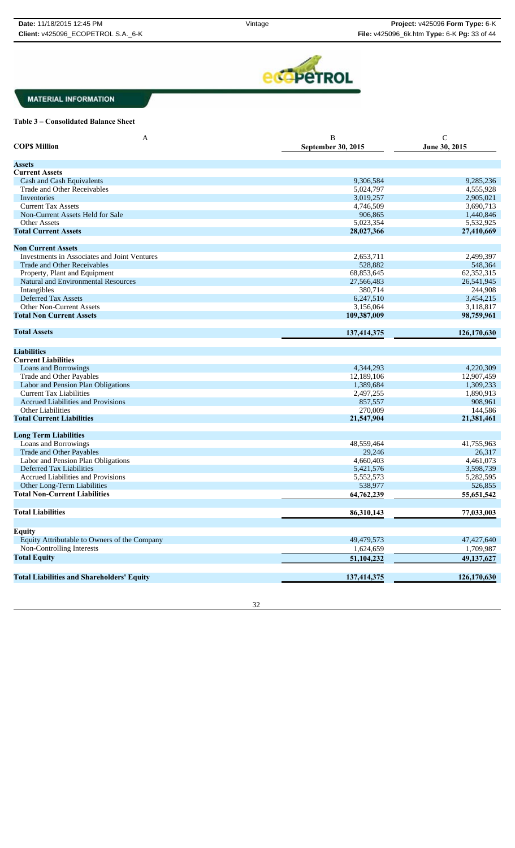

## **Table 3 – Consolidated Balance Sheet**

| A<br><b>COPS Million</b>                                           | B<br>September 30, 2015 | $\mathcal{C}$<br>June 30, 2015 |
|--------------------------------------------------------------------|-------------------------|--------------------------------|
| <b>Assets</b>                                                      |                         |                                |
| <b>Current Assets</b>                                              |                         |                                |
| Cash and Cash Equivalents                                          | 9,306,584               | 9,285,236                      |
| Trade and Other Receivables                                        | 5,024,797               | 4,555,928                      |
| Inventories                                                        | 3,019,257               | 2,905,021                      |
| <b>Current Tax Assets</b>                                          | 4,746,509               | 3,690,713                      |
| Non-Current Assets Held for Sale                                   | 906,865                 | 1,440,846                      |
| Other Assets                                                       | 5,023,354               | 5,532,925                      |
| <b>Total Current Assets</b>                                        | 28,027,366              | 27,410,669                     |
| <b>Non Current Assets</b>                                          |                         |                                |
| Investments in Associates and Joint Ventures                       | 2,653,711               | 2,499,397                      |
| Trade and Other Receivables                                        | 528,882                 | 548,364                        |
| Property, Plant and Equipment                                      | 68,853,645              | 62,352,315                     |
| Natural and Environmental Resources                                | 27,566,483              | 26,541,945                     |
| Intangibles                                                        | 380,714                 | 244,908                        |
| <b>Deferred Tax Assets</b>                                         |                         | 3,454,215                      |
|                                                                    | 6,247,510               |                                |
| <b>Other Non-Current Assets</b><br><b>Total Non Current Assets</b> | 3,156,064               | 3,118,817                      |
|                                                                    | 109,387,009             | 98,759,961                     |
| <b>Total Assets</b>                                                | 137,414,375             | 126,170,630                    |
| <b>Liabilities</b>                                                 |                         |                                |
| <b>Current Liabilities</b>                                         |                         |                                |
| Loans and Borrowings                                               | 4,344,293               | 4,220,309                      |
|                                                                    |                         |                                |
| Trade and Other Payables                                           | 12,189,106              | 12,907,459                     |
| Labor and Pension Plan Obligations                                 | 1,389,684               | 1,309,233                      |
| <b>Current Tax Liabilities</b>                                     | 2,497,255               | 1,890,913                      |
| <b>Accrued Liabilities and Provisions</b>                          | 857,557                 | 908,961                        |
| <b>Other Liabilities</b>                                           | 270,009                 | 144,586                        |
| <b>Total Current Liabilities</b>                                   | 21,547,904              | 21,381,461                     |
| <b>Long Term Liabilities</b>                                       |                         |                                |
| Loans and Borrowings                                               | 48,559,464              | 41,755,963                     |
| Trade and Other Payables                                           | 29,246                  | 26,317                         |
| Labor and Pension Plan Obligations                                 | 4,660,403               | 4,461,073                      |
| Deferred Tax Liabilities                                           | 5,421,576               | 3,598,739                      |
| <b>Accrued Liabilities and Provisions</b>                          | 5,552,573               | 5,282,595                      |
| Other Long-Term Liabilities                                        | 538,977                 | 526,855                        |
| <b>Total Non-Current Liabilities</b>                               | 64,762,239              | 55,651,542                     |
|                                                                    |                         |                                |
| <b>Total Liabilities</b>                                           | 86,310,143              | 77,033,003                     |
| <b>Equity</b>                                                      |                         |                                |
| Equity Attributable to Owners of the Company                       | 49,479,573              | 47,427,640                     |
| Non-Controlling Interests                                          | 1,624,659               | 1,709,987                      |
| <b>Total Equity</b>                                                |                         |                                |
|                                                                    | 51,104,232              | 49,137,627                     |
| <b>Total Liabilities and Shareholders' Equity</b>                  | 137,414,375             | 126,170,630                    |

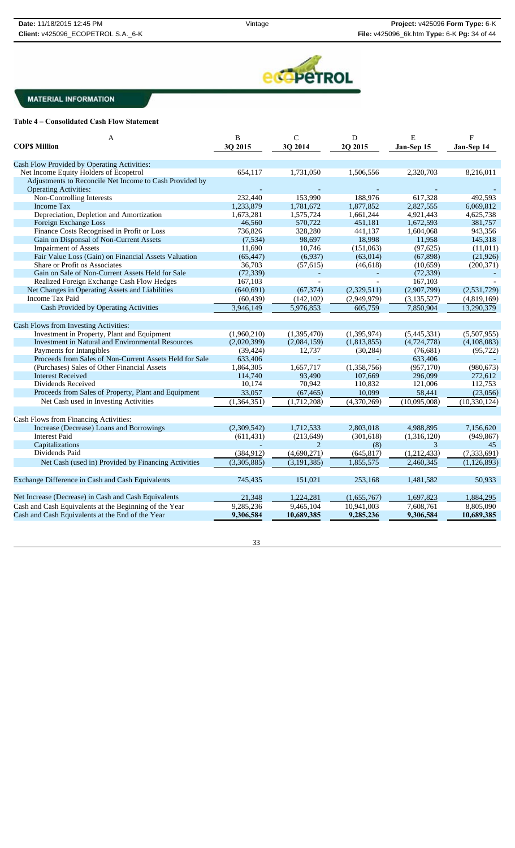

## **Table 4 – Consolidated Cash Flow Statement**

| A<br><b>COPS Million</b>                                 | B<br>30 2015             | ${\bf C}$<br>3O 2014 | ${\bf D}$<br>2Q 2015     | E<br>Jan-Sep 15 | $\mathbf F$<br>Jan-Sep 14 |
|----------------------------------------------------------|--------------------------|----------------------|--------------------------|-----------------|---------------------------|
| Cash Flow Provided by Operating Activities:              |                          |                      |                          |                 |                           |
| Net Income Equity Holders of Ecopetrol                   | 654,117                  | 1,731,050            | 1,506,556                | 2.320.703       | 8,216,011                 |
| Adjustments to Reconcile Net Income to Cash Provided by  |                          |                      |                          |                 |                           |
| <b>Operating Activities:</b>                             |                          |                      |                          |                 |                           |
| Non-Controlling Interests                                | 232,440                  | 153,990              | 188,976                  | 617,328         | 492,593                   |
| <b>Income Tax</b>                                        | 1,233,879                | 1,781,672            | 1,877,852                | 2,827,555       | 6,069,812                 |
| Depreciation, Depletion and Amortization                 | 1,673,281                | 1,575,724            | 1,661,244                | 4,921,443       | 4,625,738                 |
| Foreign Exchange Loss                                    | 46,560                   | 570,722              | 451,181                  | 1,672,593       | 381,757                   |
| Finance Costs Recognised in Profit or Loss               | 736,826                  | 328,280              | 441,137                  | 1,604,068       | 943,356                   |
| Gain on Disponsal of Non-Current Assets                  | (7,534)                  | 98,697               | 18,998                   | 11,958          | 145,318                   |
| <b>Impairment of Assets</b>                              | 11,690                   | 10,746               | (151,063)                | (97, 625)       | (11,011)                  |
| Fair Value Loss (Gain) on Financial Assets Valuation     | (65, 447)                | (6,937)              | (63, 014)                | (67, 898)       | (21, 926)                 |
| Share or Profit os Associates                            | 36,703                   | (57,615)             | (46,618)                 | (10,659)        | (200, 371)                |
| Gain on Sale of Non-Current Assets Held for Sale         | (72, 339)                |                      |                          | (72, 339)       |                           |
| Realized Foreign Exchange Cash Flow Hedges               | 167,103                  | $\mathbf{r}$         |                          | 167,103         |                           |
| Net Changes in Operating Assets and Liabilities          | (640, 691)               | (67, 374)            | (2,329,511)              | (2,907,799)     | (2,531,729)               |
| Income Tax Paid                                          | (60, 439)                | (142, 102)           | (2,949,979)              | (3,135,527)     | (4,819,169)               |
| Cash Provided by Operating Activities                    | 3,946,149                | 5,976,853            | 605,759                  | 7,850,904       | 13,290,379                |
| Cash Flows from Investing Activities:                    |                          |                      |                          |                 |                           |
| Investment in Property, Plant and Equipment              | (1,960,210)              | (1,395,470)          | (1,395,974)              | (5,445,331)     | (5,507,955)               |
| <b>Investment in Natural and Environmental Resources</b> | (2,020,399)              | (2,084,159)          | (1,813,855)              | (4, 724, 778)   | (4,108,083)               |
| Payments for Intangibles                                 | (39, 424)                | 12,737               | (30, 284)                | (76,681)        | (95, 722)                 |
| Proceeds from Sales of Non-Current Assets Held for Sale  | 633,406                  |                      |                          | 633,406         |                           |
| (Purchases) Sales of Other Financial Assets              | 1,864,305                | 1,657,717            | (1,358,756)              | (957, 170)      | (980, 673)                |
| <b>Interest Received</b>                                 | 114,740                  | 93,490               | 107,669                  | 296,099         | 272,612                   |
| Dividends Received                                       | 10,174                   | 70,942               | 110,832                  | 121,006         | 112,753                   |
| Proceeds from Sales of Property, Plant and Equipment     | 33,057                   | (67, 465)            | 10,099                   | 58,441          | (23,056)                  |
| Net Cash used in Investing Activities                    | $\overline{(1,364,351)}$ | (1,712,208)          | $\overline{(4,370,269)}$ | (10,095,008)    | (10, 330, 124)            |
|                                                          |                          |                      |                          |                 |                           |
| Cash Flows from Financing Activities:                    |                          |                      |                          |                 |                           |
| Increase (Decrease) Loans and Borrowings                 | (2,309,542)              | 1,712,533            | 2,803,018                | 4,988,895       | 7,156,620                 |
| <b>Interest Paid</b>                                     | (611, 431)               | (213, 649)           | (301,618)                | (1,316,120)     | (949, 867)                |
| Capitalizations                                          |                          | $\overline{2}$       | (8)                      | 3               | 45                        |
| Dividends Paid                                           | (384, 912)               | (4,690,271)          | (645, 817)               | (1,212,433)     | (7, 333, 691)             |
| Net Cash (used in) Provided by Financing Activities      | (3,305,885)              | (3,191,385)          | 1,855,575                | 2,460,345       | (1, 126, 893)             |
| Exchange Difference in Cash and Cash Equivalents         | 745,435                  | 151,021              | 253,168                  | 1,481,582       | 50,933                    |
| Net Increase (Decrease) in Cash and Cash Equivalents     | 21,348                   | 1,224,281            | (1,655,767)              | 1,697,823       | 1,884,295                 |
| Cash and Cash Equivalents at the Beginning of the Year   | 9,285,236                | 9,465,104            | 10,941,003               | 7,608,761       | 8,805,090                 |
| Cash and Cash Equivalents at the End of the Year         | 9,306,584                | 10,689,385           | 9,285,236                | 9,306,584       | 10,689,385                |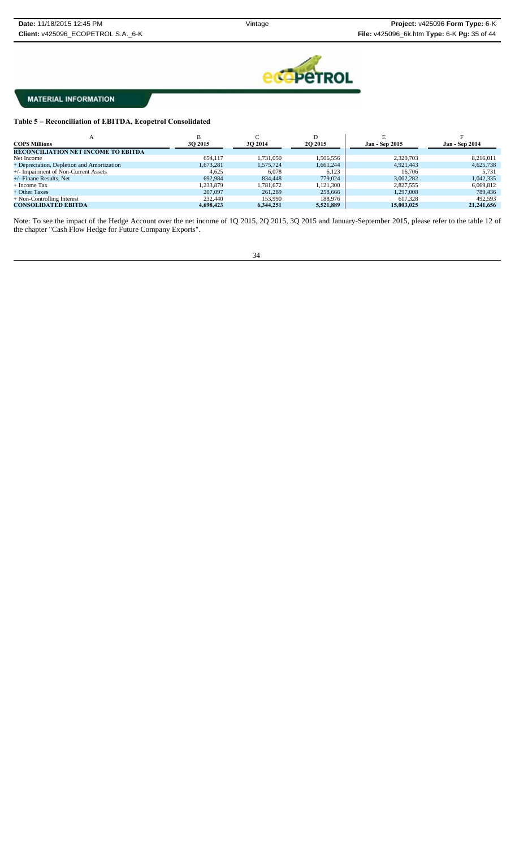

**Table 5 – Reconciliation of EBITDA, Ecopetrol Consolidated**

|                                            | B         |           | D         |                       |                       |
|--------------------------------------------|-----------|-----------|-----------|-----------------------|-----------------------|
| <b>COPS Millions</b>                       | 3O 2015   | 30 2014   | 2Q 2015   | <b>Jan - Sep 2015</b> | <b>Jan - Sep 2014</b> |
| <b>RECONCILIATION NET INCOME TO EBITDA</b> |           |           |           |                       |                       |
| Net Income                                 | 654,117   | 1.731.050 | 1,506,556 | 2,320,703             | 8,216,011             |
| + Depreciation, Depletion and Amortization | 1.673.281 | 1.575.724 | 1,661,244 | 4.921.443             | 4,625,738             |
| +/- Impairment of Non-Current Assets       | 4.625     | 6,078     | 6,123     | 16.706                | 5,731                 |
| $+/-$ Finane Results, Net                  | 692.984   | 834,448   | 779,024   | 3.002.282             | 1,042,335             |
| $+$ Income Tax                             | 1,233,879 | 1.781.672 | 1,121,300 | 2,827,555             | 6,069,812             |
| + Other Taxes                              | 207,097   | 261.289   | 258,666   | 1,297,008             | 789.436               |
| $+$ Non-Controlling Interest               | 232,440   | 153.990   | 188,976   | 617.328               | 492.593               |
| <b>CONSOLIDATED EBITDA</b>                 | 4,698,423 | 6,344,251 | 5,521,889 | 15,003,025            | 21,241,656            |

Note: To see the impact of the Hedge Account over the net income of 1Q 2015, 2Q 2015, 3Q 2015 and January-September 2015, please refer to the table 12 of the chapter "Cash Flow Hedge for Future Company Exports".

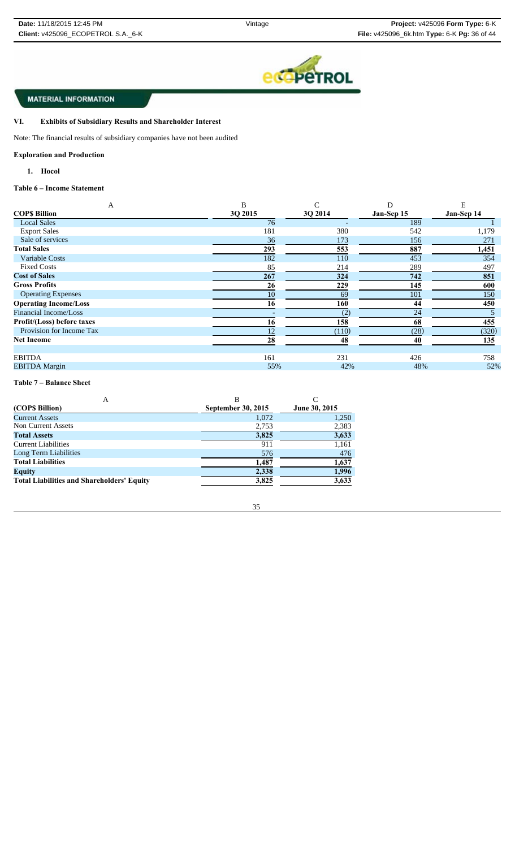

## **VI. Exhibits of Subsidiary Results and Shareholder Interest**

Note: The financial results of subsidiary companies have not been audited

### **Exploration and Production**

### **1. Hocol**

## **Table 6 – Income Statement**

| A                            | B       | C       | D          | E          |
|------------------------------|---------|---------|------------|------------|
| <b>COPS Billion</b>          | 30 2015 | 3Q 2014 | Jan-Sep 15 | Jan-Sep 14 |
| <b>Local Sales</b>           | 76      |         | 189        |            |
| <b>Export Sales</b>          | 181     | 380     | 542        | 1,179      |
| Sale of services             | 36      | 173     | 156        | 271        |
| <b>Total Sales</b>           | 293     | 553     | 887        | 1,451      |
| Variable Costs               | 182     | 110     | 453        | 354        |
| <b>Fixed Costs</b>           | 85      | 214     | 289        | 497        |
| <b>Cost of Sales</b>         | 267     | 324     | 742        | 851        |
| <b>Gross Profits</b>         | 26      | 229     | 145        | 600        |
| <b>Operating Expenses</b>    | 10      | 69      | 101        | 150        |
| <b>Operating Income/Loss</b> | 16      | 160     | 44         | 450        |
| Financial Income/Loss        |         | (2)     | 24         |            |
| Profit/(Loss) before taxes   | 16      | 158     | 68         | 455        |
| Provision for Income Tax     | 12      | (110)   | (28)       | (320)      |
| <b>Net Income</b>            | 28      | 48      | 40         | 135        |
|                              |         |         |            |            |
| <b>EBITDA</b>                | 161     | 231     | 426        | 758        |
| <b>EBITDA</b> Margin         | 55%     | 42%     | 48%        | 52%        |

#### **Table 7 – Balance Sheet**

| А                                                 | В                         |               |
|---------------------------------------------------|---------------------------|---------------|
| (COP\$ Billion)                                   | <b>September 30, 2015</b> | June 30, 2015 |
| <b>Current Assets</b>                             | 1,072                     | 1,250         |
| Non Current Assets                                | 2,753                     | 2,383         |
| <b>Total Assets</b>                               | 3,825                     | 3,633         |
| <b>Current Liabilities</b>                        | 911                       | 1,161         |
| Long Term Liabilities                             | 576                       | 476           |
| <b>Total Liabilities</b>                          | 1,487                     | 1,637         |
| <b>Equity</b>                                     | 2,338                     | 1,996         |
| <b>Total Liabilities and Shareholders' Equity</b> | 3,825                     | 3,633         |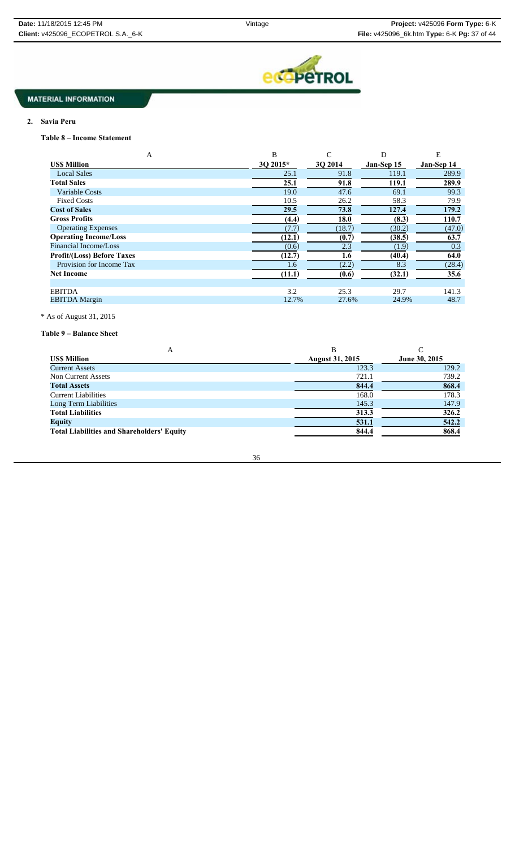

# **2. Savia Peru**

**Table 8 – Income Statement**

| A                                 | B        | C       | D          | E          |
|-----------------------------------|----------|---------|------------|------------|
| <b>USS Million</b>                | 3Q 2015* | 3Q 2014 | Jan-Sep 15 | Jan-Sep 14 |
| <b>Local Sales</b>                | 25.1     | 91.8    | 119.1      | 289.9      |
| <b>Total Sales</b>                | 25.1     | 91.8    | 119.1      | 289.9      |
| Variable Costs                    | 19.0     | 47.6    | 69.1       | 99.3       |
| <b>Fixed Costs</b>                | 10.5     | 26.2    | 58.3       | 79.9       |
| <b>Cost of Sales</b>              | 29.5     | 73.8    | 127.4      | 179.2      |
| <b>Gross Profits</b>              | (4.4)    | 18.0    | (8.3)      | 110.7      |
| <b>Operating Expenses</b>         | (7.7)    | (18.7)  | (30.2)     | (47.0)     |
| <b>Operating Income/Loss</b>      | (12.1)   | (0.7)   | (38.5)     | 63.7       |
| Financial Income/Loss             | (0.6)    | 2.3     | (1.9)      | 0.3        |
| <b>Profit/(Loss) Before Taxes</b> | (12.7)   | 1.6     | (40.4)     | 64.0       |
| Provision for Income Tax          | 1.6      | (2.2)   | 8.3        | (28.4)     |
| <b>Net Income</b>                 | (11.1)   | (0.6)   | (32.1)     | 35.6       |
|                                   |          |         |            |            |
| <b>EBITDA</b>                     | 3.2      | 25.3    | 29.7       | 141.3      |
| <b>EBITDA</b> Margin              | 12.7%    | 27.6%   | 24.9%      | 48.7       |

# \* As of August 31, 2015

**Table 9 – Balance Sheet**

| A                                                 |                        |               |
|---------------------------------------------------|------------------------|---------------|
| <b>USS Million</b>                                | <b>August 31, 2015</b> | June 30, 2015 |
| <b>Current Assets</b>                             | 123.3                  | 129.2         |
| Non Current Assets                                | 721.1                  | 739.2         |
| <b>Total Assets</b>                               | 844.4                  | 868.4         |
| <b>Current Liabilities</b>                        | 168.0                  | 178.3         |
| Long Term Liabilities                             | 145.3                  | 147.9         |
| <b>Total Liabilities</b>                          | 313.3                  | 326.2         |
| <b>Equity</b>                                     | 531.1                  | 542.2         |
| <b>Total Liabilities and Shareholders' Equity</b> | 844.4                  | 868.4         |
|                                                   |                        |               |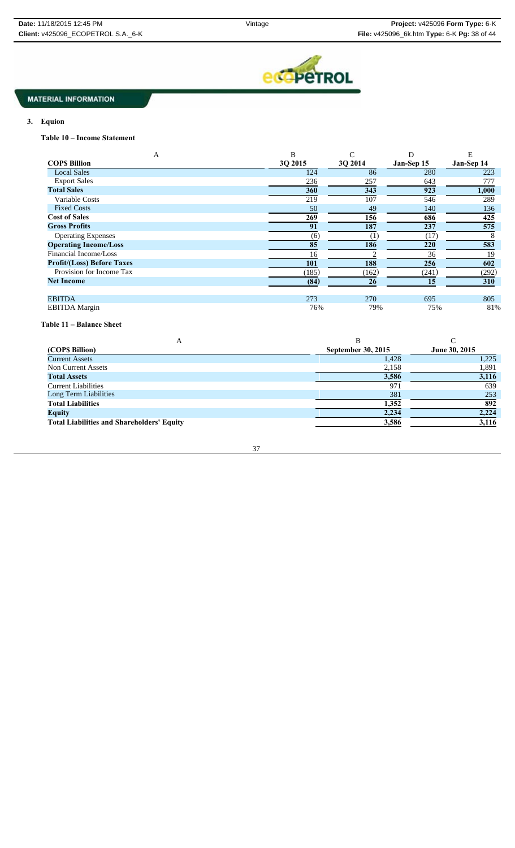

# **3. Equion**

**Table 10 – Income Statement**

| A                                 | B       | C       | D          | E          |
|-----------------------------------|---------|---------|------------|------------|
| <b>COPS Billion</b>               | 30 2015 | 30 2014 | Jan-Sep 15 | Jan-Sep 14 |
| <b>Local Sales</b>                | 124     | 86      | 280        | 223        |
| <b>Export Sales</b>               | 236     | 257     | 643        | 777        |
| <b>Total Sales</b>                | 360     | 343     | 923        | 1,000      |
| Variable Costs                    | 219     | 107     | 546        | 289        |
| <b>Fixed Costs</b>                | 50      | 49      | 140        | 136        |
| <b>Cost of Sales</b>              | 269     | 156     | 686        | 425        |
| <b>Gross Profits</b>              | 91      | 187     | 237        | 575        |
| <b>Operating Expenses</b>         | (6)     | (1)     | (17)       |            |
| <b>Operating Income/Loss</b>      | 85      | 186     | 220        | 583        |
| Financial Income/Loss             | 16      |         | 36         | 19         |
| <b>Profit/(Loss) Before Taxes</b> | 101     | 188     | 256        | 602        |
| Provision for Income Tax          | (185)   | (162)   | (241)      | (292)      |
| <b>Net Income</b>                 | (84)    | 26      | 15         | 310        |
|                                   |         |         |            |            |
| <b>EBITDA</b>                     | 273     | 270     | 695        | 805        |
| <b>EBITDA</b> Margin              | 76%     | 79%     | 75%        | 81%        |

## **Table 11 – Balance Sheet**

| Α                                                 | в                         |               |
|---------------------------------------------------|---------------------------|---------------|
| (COP\$ Billion)                                   | <b>September 30, 2015</b> | June 30, 2015 |
| <b>Current Assets</b>                             | 1,428                     | 1,225         |
| Non Current Assets                                | 2,158                     | 1,891         |
| <b>Total Assets</b>                               | 3,586                     | 3,116         |
| <b>Current Liabilities</b>                        | 971                       | 639           |
| Long Term Liabilities                             | 381                       | 253           |
| <b>Total Liabilities</b>                          | 1,352                     | 892           |
| <b>Equity</b>                                     | 2,234                     | 2,224         |
| <b>Total Liabilities and Shareholders' Equity</b> | 3,586                     | 3,116         |
|                                                   |                           |               |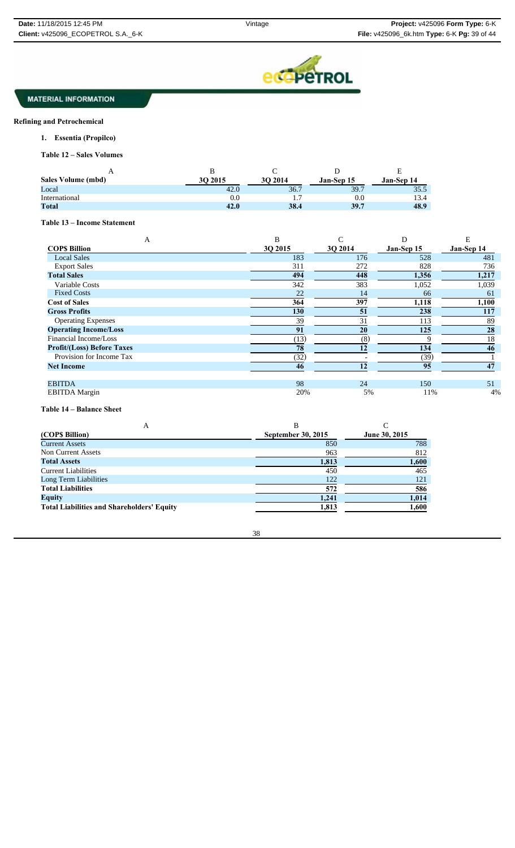

## **Refining and Petrochemical**

**1. Essentia (Propilco)**

**Table 12 – Sales Volumes** 

| <b>Sales Volume (mbd)</b> | 30 2015 | 3O 2014 | <b>Jan-Sep 15</b> | <b>Jan-Sep 14</b> |
|---------------------------|---------|---------|-------------------|-------------------|
| Local                     | 42.0    | 36.7    | 39.7              | 35.5              |
| International             | $0.0\,$ |         | 0.0               | 13.4              |
| Total                     | 42.0    | 38.4    | 39.7              | 48.9              |
|                           |         |         |                   |                   |

#### **Table 13 – Income Statement**

| A                                 | B       | C               | D          | E          |
|-----------------------------------|---------|-----------------|------------|------------|
| <b>COPS Billion</b>               | 30 2015 | 30 2014         | Jan-Sep 15 | Jan-Sep 14 |
| <b>Local Sales</b>                | 183     | 176             | 528        | 481        |
| <b>Export Sales</b>               | 311     | 272             | 828        | 736        |
| <b>Total Sales</b>                | 494     | 448             | 1,356      | 1,217      |
| Variable Costs                    | 342     | 383             | 1,052      | 1,039      |
| <b>Fixed Costs</b>                | 22      | 14              | 66         | 61         |
| <b>Cost of Sales</b>              | 364     | 397             | 1,118      | 1,100      |
| <b>Gross Profits</b>              | 130     | 51              | 238        | 117        |
| <b>Operating Expenses</b>         | 39      | 31              | 113        | 89         |
| <b>Operating Income/Loss</b>      | 91      | $\overline{20}$ | 125        | 28         |
| Financial Income/Loss             | (13)    | (8)             |            | 18         |
| <b>Profit/(Loss) Before Taxes</b> | 78      | 12              | 134        | 46         |
| Provision for Income Tax          | (32)    |                 | (39)       |            |
| <b>Net Income</b>                 | 46      | 12              | 95         | 47         |
|                                   |         |                 |            |            |
| <b>EBITDA</b>                     | 98      | 24              | 150        | 51         |
| <b>EBITDA</b> Margin              | 20%     | 5%              | 11%        | 4%         |

#### **Table 14 – Balance Sheet**

| А                                                 | В                         |               |
|---------------------------------------------------|---------------------------|---------------|
| (COP\$ Billion)                                   | <b>September 30, 2015</b> | June 30, 2015 |
| <b>Current Assets</b>                             | 850                       | 788           |
| Non Current Assets                                | 963                       | 812           |
| <b>Total Assets</b>                               | 1,813                     | 1,600         |
| <b>Current Liabilities</b>                        | 450                       | 465           |
| Long Term Liabilities                             | 122                       | 121           |
| <b>Total Liabilities</b>                          | 572                       | 586           |
| <b>Equity</b>                                     | 1,241                     | 1,014         |
| <b>Total Liabilities and Shareholders' Equity</b> | 1,813                     | 1,600         |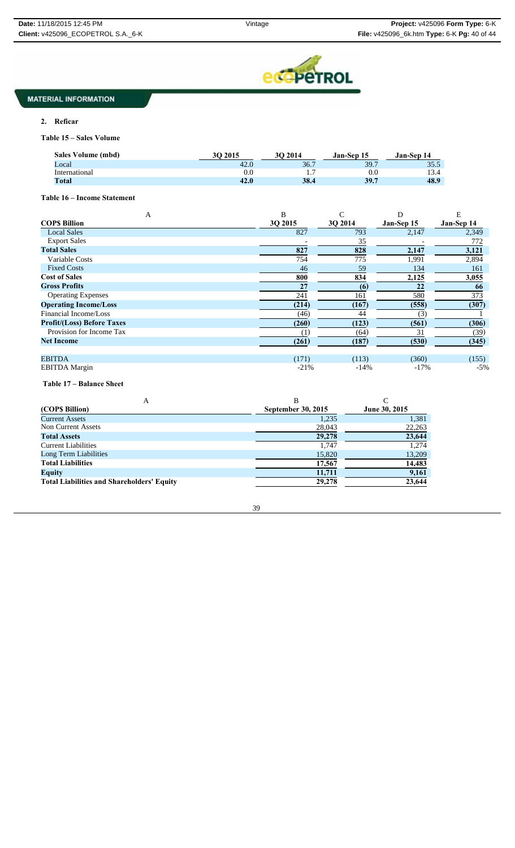

## **2. Reficar**

**Table 15 – Sales Volume**

| Sales Volume (mbd) | 30 2015   | 30 2014 | <b>Jan-Sep 15</b> | Jan-Sep 14 |
|--------------------|-----------|---------|-------------------|------------|
| Local              | 42.0      | 36.7    | 39.7              | 35.5       |
| International      | $\rm 0.0$ |         | $\rm 0.0$         |            |
| <b>Total</b>       | 42.0      | 38.4    | 39.7              | 48.9       |

**Table 16 – Income Statement**

| A                                 | B       |         | D          | E          |
|-----------------------------------|---------|---------|------------|------------|
| <b>COPS Billion</b>               | 30 2015 | 3O 2014 | Jan-Sep 15 | Jan-Sep 14 |
| <b>Local Sales</b>                | 827     | 793     | 2,147      | 2,349      |
| <b>Export Sales</b>               |         | 35      |            | 772        |
| <b>Total Sales</b>                | 827     | 828     | 2,147      | 3,121      |
| Variable Costs                    | 754     | 775     | 1,991      | 2,894      |
| <b>Fixed Costs</b>                | 46      | 59      | 134        | 161        |
| <b>Cost of Sales</b>              | 800     | 834     | 2,125      | 3,055      |
| <b>Gross Profits</b>              | 27      | (6)     | 22         | 66         |
| <b>Operating Expenses</b>         | 241     | 161     | 580        | 373        |
| <b>Operating Income/Loss</b>      | (214)   | (167)   | (558)      | (307)      |
| Financial Income/Loss             | (46)    | 44      | (3)        |            |
| <b>Profit/(Loss) Before Taxes</b> | (260)   | (123)   | (561)      | (306)      |
| Provision for Income Tax          | Ί.      | (64)    | 31         | (39)       |
| <b>Net Income</b>                 | (261)   | (187)   | (530)      | (345)      |
| <b>EBITDA</b>                     | (171)   | (113)   | (360)      | (155)      |
| <b>EBITDA</b> Margin              | $-21%$  | $-14%$  | $-17%$     | $-5%$      |

 **Table 17 – Balance Sheet**

| Α                                                 | в                         |               |
|---------------------------------------------------|---------------------------|---------------|
| (COP\$ Billion)                                   | <b>September 30, 2015</b> | June 30, 2015 |
| <b>Current Assets</b>                             | 1,235                     | 1,381         |
| Non Current Assets                                | 28,043                    | 22,263        |
| <b>Total Assets</b>                               | 29,278                    | 23,644        |
| <b>Current Liabilities</b>                        | 1,747                     | 1,274         |
| Long Term Liabilities                             | 15,820                    | 13,209        |
| <b>Total Liabilities</b>                          | 17,567                    | 14,483        |
| <b>Equity</b>                                     | 11,711                    | 9,161         |
| <b>Total Liabilities and Shareholders' Equity</b> | 29,278                    | 23,644        |

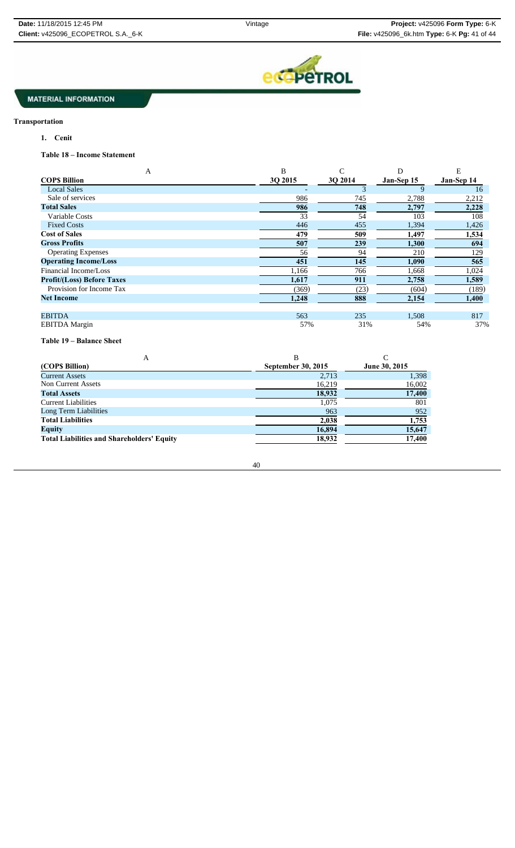

# **Transportation**

**1. Cenit**

**Table 18 – Income Statement**

| A                                 | B       | C       | D          | E          |
|-----------------------------------|---------|---------|------------|------------|
| <b>COPS Billion</b>               | 30 2015 | 3O 2014 | Jan-Sep 15 | Jan-Sep 14 |
| <b>Local Sales</b>                |         | 3       | 9          | 16         |
| Sale of services                  | 986     | 745     | 2,788      | 2,212      |
| <b>Total Sales</b>                | 986     | 748     | 2,797      | 2,228      |
| Variable Costs                    | 33      | 54      | 103        | 108        |
| <b>Fixed Costs</b>                | 446     | 455     | 1,394      | 1,426      |
| <b>Cost of Sales</b>              | 479     | 509     | 1,497      | 1,534      |
| <b>Gross Profits</b>              | 507     | 239     | 1,300      | 694        |
| <b>Operating Expenses</b>         | 56      | 94      | 210        | 129        |
| <b>Operating Income/Loss</b>      | 451     | 145     | 1,090      | 565        |
| Financial Income/Loss             | 1,166   | 766     | 1,668      | 1,024      |
| <b>Profit/(Loss) Before Taxes</b> | 1,617   | 911     | 2,758      | 1,589      |
| Provision for Income Tax          | (369)   | (23)    | (604)      | (189)      |
| <b>Net Income</b>                 | 1,248   | 888     | 2,154      | 1,400      |
|                                   |         |         |            |            |
| <b>EBITDA</b>                     | 563     | 235     | 1,508      | 817        |
| <b>EBITDA</b> Margin              | 57%     | 31%     | 54%        | 37%        |

**Table 19 – Balance Sheet**

| А                                                 | B                         |               |
|---------------------------------------------------|---------------------------|---------------|
| (COP\$ Billion)                                   | <b>September 30, 2015</b> | June 30, 2015 |
| <b>Current Assets</b>                             | 2,713                     | 1,398         |
| Non Current Assets                                | 16,219                    | 16,002        |
| <b>Total Assets</b>                               | 18,932                    | 17,400        |
| <b>Current Liabilities</b>                        | 1,075                     | 801           |
| Long Term Liabilities                             | 963                       | 952           |
| <b>Total Liabilities</b>                          | 2,038                     | 1,753         |
| <b>Equity</b>                                     | 16,894                    | 15,647        |
| <b>Total Liabilities and Shareholders' Equity</b> | 18,932                    | 17,400        |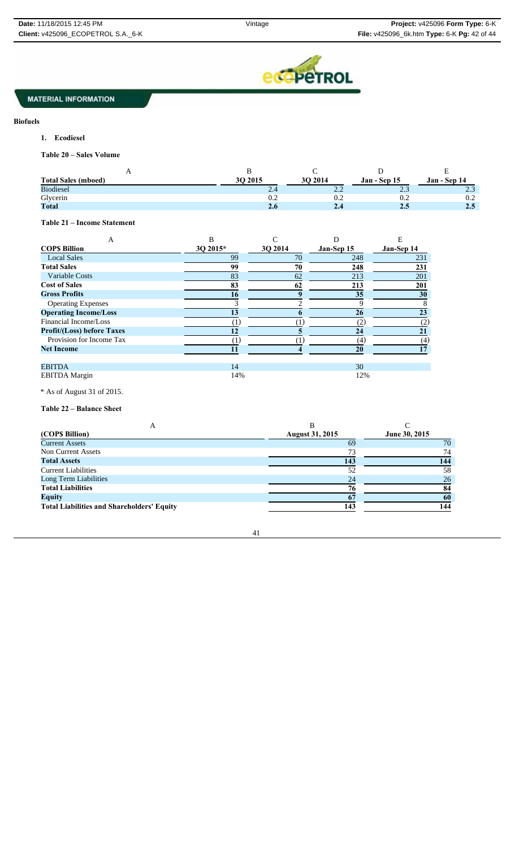

## **Biofuels**

**1. Ecodiesel**

**Table 20 – Sales Volume**

| $\mathbf{A}$                      | B                          |                 | $\mathsf{C}$           | D                   | ${\bf E}$           |
|-----------------------------------|----------------------------|-----------------|------------------------|---------------------|---------------------|
| <b>Total Sales (mboed)</b>        | 3Q 2015                    |                 | 3Q 2014                | <b>Jan - Sep 15</b> | <b>Jan - Sep 14</b> |
| <b>Biodiesel</b>                  |                            | 2.4             | 2.2                    | 2.3                 | 2.3                 |
| Glycerin                          |                            | 0.2             | 0.2                    | 0.2                 | 0.2                 |
| <b>Total</b>                      |                            | 2.6             | 2.4                    | 2.5                 | 2.5                 |
| Table 21 - Income Statement       |                            |                 |                        |                     |                     |
| A                                 | B                          | $\mathbf C$     | D                      | Ε                   |                     |
| <b>COPS Billion</b>               | 3Q 2015*                   | 3Q 2014         | Jan-Sep 15             | Jan-Sep 14          |                     |
| <b>Local Sales</b>                | 99                         | 70              | 248                    | 231                 |                     |
| <b>Total Sales</b>                | 99                         | 70              | 248                    | 231                 |                     |
| <b>Variable Costs</b>             | $\overline{83}$            | $\overline{62}$ | $\overline{213}$       | 201                 |                     |
| <b>Cost of Sales</b>              | $\overline{\overline{83}}$ | 62              | 213                    | 201                 |                     |
| <b>Gross Profits</b>              | 16                         | 9               | $\overline{35}$        | 30                  |                     |
| <b>Operating Expenses</b>         | 3                          | $\overline{2}$  | $\overline{9}$         | 8                   |                     |
| <b>Operating Income/Loss</b>      | $\overline{13}$            | $\overline{6}$  | $\overline{26}$        | $\overline{23}$     |                     |
| Financial Income/Loss             | (1)                        | (1)             | (2)                    | (2)                 |                     |
| <b>Profit/(Loss) before Taxes</b> | $\overline{12}$            | $\overline{5}$  | $\overline{24}$        | $\overline{21}$     |                     |
| Provision for Income Tax          | $\overline{1}$             | (1)             | $\overline{(4)}$       | (4)                 |                     |
| <b>Net Income</b>                 | 11                         | $\overline{4}$  | $\overline{20}$        | 17                  |                     |
| <b>EBITDA</b>                     | 14                         |                 | 30                     |                     |                     |
| <b>EBITDA</b> Margin              | 14%                        |                 | 12%                    |                     |                     |
| * As of August 31 of 2015.        |                            |                 |                        |                     |                     |
| Table 22 - Balance Sheet          |                            |                 |                        |                     |                     |
| A                                 |                            |                 | B                      | $\mathcal{C}$       |                     |
| (COP\$ Billion)                   |                            |                 | <b>August 31, 2015</b> | June 30, 2015       |                     |
| <b>Current Assets</b>             |                            |                 | 69                     |                     | 70                  |
| Non Current Assets                |                            |                 | 73                     |                     | 74                  |
| <b>Total Assets</b>               |                            |                 | 143                    |                     | 144                 |

**144**<br> **144**<br> **144**<br> **144**<br> **144**<br> **144**<br> **144**<br> **144**<br> **144**<br> **144**<br> **144**<br> **144**<br> **144**<br> **144**<br> **144**<br> **145**<br> **145**<br> **144**<br> **144**<br> **144**<br> **144**<br> **1146**<br> **1146**<br> **1146**<br> **1146**<br> **1146**<br> **1146**<br> **1146**<br> **1146**<br> **1146**<br> **11 Equity 67 60 Total Liabilities and Shareholders' Equity 143 144**

41

Current Liabilities 58 58 Long Term Liabilities 24 26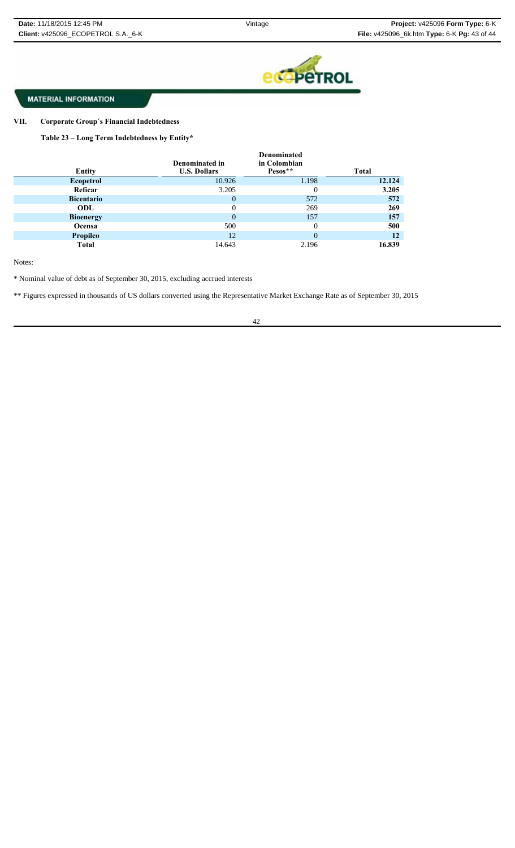

## **VII. Corporate Group´s Financial Indebtedness**

**Table 23 – Long Term Indebtedness by Entity\***

|                   | Denominated in      | <b>Denominated</b><br>in Colombian |              |
|-------------------|---------------------|------------------------------------|--------------|
| Entity            | <b>U.S. Dollars</b> | Pesos**                            | <b>Total</b> |
| Ecopetrol         | 10.926              | 1.198                              | 12.124       |
| Reficar           | 3.205               | $\overline{0}$                     | 3.205        |
| <b>Bicentario</b> | $\overline{0}$      | 572                                | 572          |
| ODL               | $\overline{0}$      | 269                                | 269          |
| <b>Bioenergy</b>  | $\theta$            | 157                                | 157          |
| Ocensa            | 500                 | $\Omega$                           | 500          |
| <b>Propilco</b>   | 12                  | $\Omega$                           | 12           |
| <b>Total</b>      | 14.643              | 2.196                              | 16.839       |

Notes:

\* Nominal value of debt as of September 30, 2015, excluding accrued interests

\*\* Figures expressed in thousands of US dollars converted using the Representative Market Exchange Rate as of September 30, 2015